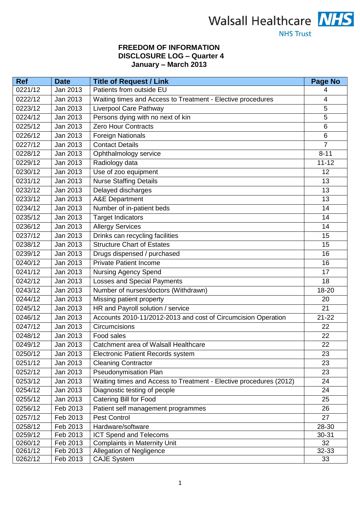

# **NHS Trust**

## **FREEDOM OF INFORMATION DISCLOSURE LOG – Quarter 4 January – March 2013**

| <b>Ref</b> | <b>Date</b> | <b>Title of Request / Link</b>                                     | <b>Page No</b> |
|------------|-------------|--------------------------------------------------------------------|----------------|
| 0221/12    | Jan 2013    | Patients from outside EU                                           | 4              |
| 0222/12    | Jan 2013    | Waiting times and Access to Treatment - Elective procedures        | $\overline{4}$ |
| 0223/12    | Jan 2013    | Liverpool Care Pathway                                             | 5              |
| 0224/12    | Jan 2013    | Persons dying with no next of kin                                  | 5              |
| 0225/12    | Jan 2013    | <b>Zero Hour Contracts</b>                                         | $6\phantom{1}$ |
| 0226/12    | Jan 2013    | <b>Foreign Nationals</b>                                           | $6\phantom{1}$ |
| 0227/12    | Jan 2013    | <b>Contact Details</b>                                             | $\overline{7}$ |
| 0228/12    | Jan 2013    | Ophthalmology service                                              | $8 - 11$       |
| 0229/12    | Jan 2013    | Radiology data                                                     | $11 - 12$      |
| 0230/12    | Jan 2013    | Use of zoo equipment                                               | 12             |
| 0231/12    | Jan 2013    | <b>Nurse Staffing Details</b>                                      | 13             |
| 0232/12    | Jan 2013    | Delayed discharges                                                 | 13             |
| 0233/12    | Jan 2013    | <b>A&amp;E Department</b>                                          | 13             |
| 0234/12    | Jan 2013    | Number of in-patient beds                                          | 14             |
| 0235/12    | Jan 2013    | <b>Target Indicators</b>                                           | 14             |
| 0236/12    | Jan 2013    | <b>Allergy Services</b>                                            | 14             |
| 0237/12    | Jan 2013    | Drinks can recycling facilities                                    | 15             |
| 0238/12    | Jan 2013    | <b>Structure Chart of Estates</b>                                  | 15             |
| 0239/12    | Jan 2013    | Drugs dispensed / purchased                                        | 16             |
| 0240/12    | Jan 2013    | <b>Private Patient Income</b>                                      | 16             |
| 0241/12    | Jan 2013    | <b>Nursing Agency Spend</b>                                        | 17             |
| 0242/12    | Jan 2013    | <b>Losses and Special Payments</b>                                 | 18             |
| 0243/12    | Jan 2013    | Number of nurses/doctors (Withdrawn)                               | 18-20          |
| 0244/12    | Jan 2013    | Missing patient property                                           | 20             |
| 0245/12    | Jan 2013    | HR and Payroll solution / service                                  | 21             |
| 0246/12    | Jan 2013    | Accounts 2010-11/2012-2013 and cost of Circumcision Operation      | $21 - 22$      |
| 0247/12    | Jan 2013    | Circumcisions                                                      | 22             |
| 0248/12    | Jan 2013    | Food sales                                                         | 22             |
| 0249/12    | Jan 2013    | Catchment area of Walsall Healthcare                               | 22             |
| 0250/12    | Jan 2013    | Electronic Patient Records system                                  | 23             |
| 0251/12    | Jan 2013    | <b>Cleaning Contractor</b>                                         | 23             |
| 0252/12    | Jan 2013    | Pseudonymisation Plan                                              | 23             |
| 0253/12    | Jan 2013    | Waiting times and Access to Treatment - Elective procedures (2012) | 24             |
| 0254/12    | Jan 2013    | Diagnostic testing of people                                       | 24             |
| 0255/12    | Jan 2013    | <b>Catering Bill for Food</b>                                      | 25             |
| 0256/12    | Feb 2013    | Patient self management programmes                                 | 26             |
| 0257/12    | Feb 2013    | <b>Pest Control</b>                                                | 27             |
| 0258/12    | Feb 2013    | Hardware/software                                                  | 28-30          |
| 0259/12    | Feb 2013    | ICT Spend and Telecoms                                             | 30-31          |
| 0260/12    | Feb 2013    | <b>Complaints in Maternity Unit</b>                                | 32             |
| 0261/12    | Feb 2013    | Allegation of Negligence                                           | 32-33          |
| 0262/12    | Feb 2013    | <b>CAJE System</b>                                                 | 33             |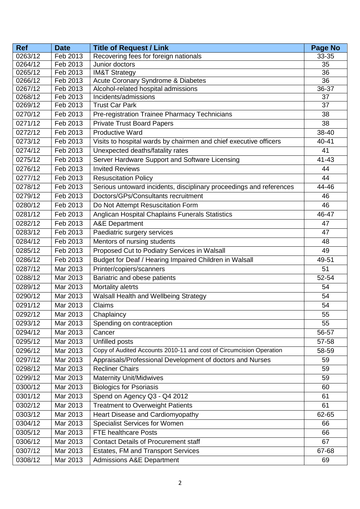| <b>Ref</b> | <b>Date</b>          | <b>Title of Request / Link</b>                                      | <b>Page No</b> |
|------------|----------------------|---------------------------------------------------------------------|----------------|
| 0263/12    | Feb 2013             | Recovering fees for foreign nationals                               | 33-35          |
| 0264/12    | Feb 2013             | Junior doctors                                                      | 35             |
| 0265/12    | Feb 2013             | <b>IM&amp;T Strategy</b>                                            | 36             |
| 0266/12    | Feb 2013             | Acute Coronary Syndrome & Diabetes                                  | 36             |
| 0267/12    | Feb 2013             | Alcohol-related hospital admissions                                 | 36-37          |
| 0268/12    | Feb 2013<br>Feb 2013 | Incidents/admissions<br><b>Trust Car Park</b>                       | 37<br>37       |
| 0269/12    |                      |                                                                     |                |
| 0270/12    | Feb 2013             | Pre-registration Trainee Pharmacy Technicians                       | 38             |
| 0271/12    | Feb 2013             | <b>Private Trust Board Papers</b>                                   | 38             |
| 0272/12    | Feb 2013             | <b>Productive Ward</b>                                              | 38-40          |
| 0273/12    | Feb 2013             | Visits to hospital wards by chairmen and chief executive officers   | 40-41          |
| 0274/12    | Feb 2013             | Unexpected deaths/fatality rates                                    | 41             |
| 0275/12    | Feb 2013             | Server Hardware Support and Software Licensing                      | 41-43          |
| 0276/12    | Feb 2013             | <b>Invited Reviews</b>                                              | 44             |
| 0277/12    | Feb 2013             | <b>Resuscitation Policy</b>                                         | 44             |
| 0278/12    | Feb 2013             | Serious untoward incidents, disciplinary proceedings and references | 44-46          |
| 0279/12    | Feb 2013             | Doctors/GPs/Consultants recruitment                                 | 46             |
| 0280/12    | Feb 2013             | Do Not Attempt Resuscitation Form                                   | 46             |
| 0281/12    | Feb 2013             | Anglican Hospital Chaplains Funerals Statistics                     | 46-47          |
| 0282/12    | Feb 2013             | <b>A&amp;E</b> Department                                           | 47             |
| 0283/12    | Feb 2013             | Paediatric surgery services                                         | 47             |
| 0284/12    | Feb 2013             | Mentors of nursing students                                         | 48             |
| 0285/12    | Feb 2013             | Proposed Cut to Podiatry Services in Walsall                        | 49             |
| 0286/12    | Feb 2013             | Budget for Deaf / Hearing Impaired Children in Walsall              | 49-51          |
| 0287/12    | Mar 2013             | Printer/copiers/scanners                                            | 51             |
| 0288/12    | Mar 2013             | Bariatric and obese patients                                        | 52-54          |
| 0289/12    | Mar 2013             | Mortality aletrts                                                   | 54             |
| 0290/12    | Mar 2013             | Walsall Health and Wellbeing Strategy                               | 54             |
| 0291/12    | Mar 2013             | Claims                                                              | 54             |
| 0292/12    | Mar 2013             | Chaplaincy                                                          | 55             |
| 0293/12    | Mar 2013             | Spending on contraception                                           | 55             |
| 0294/12    | Mar 2013             | Cancer                                                              | 56-57          |
| 0295/12    | Mar 2013             | Unfilled posts                                                      | 57-58          |
| 0296/12    | Mar 2013             | Copy of Audited Accounts 2010-11 and cost of Circumcision Operation | 58-59          |
| 0297/12    | Mar 2013             | Appraisals/Professional Development of doctors and Nurses           | 59             |
| 0298/12    | Mar 2013             | <b>Recliner Chairs</b>                                              | 59             |
| 0299/12    | Mar 2013             | <b>Maternity Unit/Midwives</b>                                      | 59             |
| 0300/12    | Mar 2013             | <b>Biologics for Psoriasis</b>                                      | 60             |
| 0301/12    | Mar 2013             | Spend on Agency Q3 - Q4 2012                                        | 61             |
| 0302/12    | Mar 2013             | <b>Treatment to Overweight Patients</b>                             | 61             |
| 0303/12    | Mar 2013             | Heart Disease and Cardiomyopathy                                    | 62-65          |
| 0304/12    | Mar 2013             | <b>Specialist Services for Women</b>                                | 66             |
| 0305/12    | Mar 2013             | <b>FTE healthcare Posts</b>                                         | 66             |
| 0306/12    | Mar 2013             | <b>Contact Details of Procurement staff</b>                         | 67             |
| 0307/12    | Mar 2013             | <b>Estates, FM and Transport Services</b>                           | 67-68          |
| 0308/12    | Mar 2013             | <b>Admissions A&amp;E Department</b>                                | 69             |
|            |                      |                                                                     |                |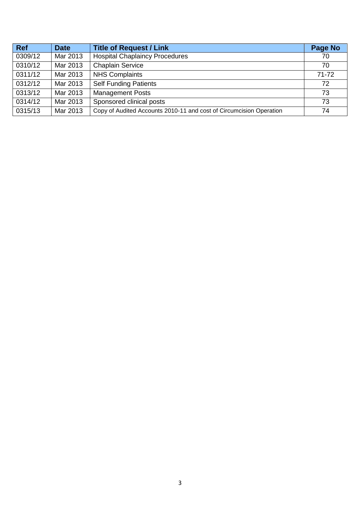| <b>Ref</b> | <b>Date</b> | <b>Title of Request / Link</b>                                      | Page No   |
|------------|-------------|---------------------------------------------------------------------|-----------|
| 0309/12    | Mar 2013    | <b>Hospital Chaplaincy Procedures</b>                               | 70        |
| 0310/12    | Mar 2013    | <b>Chaplain Service</b>                                             | 70        |
| 0311/12    | Mar 2013    | <b>NHS Complaints</b>                                               | $71 - 72$ |
| 0312/12    | Mar 2013    | <b>Self Funding Patients</b>                                        | 72        |
| 0313/12    | Mar 2013    | <b>Management Posts</b>                                             | 73        |
| 0314/12    | Mar 2013    | Sponsored clinical posts                                            | 73        |
| 0315/13    | Mar 2013    | Copy of Audited Accounts 2010-11 and cost of Circumcision Operation | 74        |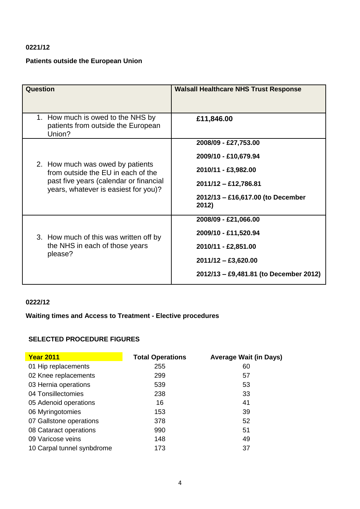## **0221/12**

# **Patients outside the European Union**

| Question                                                                                                                                                 | <b>Walsall Healthcare NHS Trust Response</b>                                                                                                             |
|----------------------------------------------------------------------------------------------------------------------------------------------------------|----------------------------------------------------------------------------------------------------------------------------------------------------------|
| 1. How much is owed to the NHS by<br>patients from outside the European<br>Union?                                                                        | £11,846.00                                                                                                                                               |
| 2. How much was owed by patients<br>from outside the EU in each of the<br>past five years (calendar or financial<br>years, whatever is easiest for you)? | 2008/09 - £27,753.00<br>2009/10 - £10,679.94<br>2010/11 - £3,982.00<br>$2011/12 - \text{\pounds}12,786.81$<br>2012/13 - £16,617.00 (to December<br>2012) |
| 3. How much of this was written off by<br>the NHS in each of those years<br>please?                                                                      | 2008/09 - £21,066.00<br>2009/10 - £11,520.94<br>2010/11 - £2,851.00<br>$2011/12 - \pounds3,620.00$<br>2012/13 - £9,481.81 (to December 2012)             |

## **0222/12**

## **Waiting times and Access to Treatment - Elective procedures**

## **SELECTED PROCEDURE FIGURES**

| <b>Year 2011</b>           | <b>Total Operations</b> | <b>Average Wait (in Days)</b> |
|----------------------------|-------------------------|-------------------------------|
| 01 Hip replacements        | 255                     | 60                            |
| 02 Knee replacements       | 299                     | 57                            |
| 03 Hernia operations       | 539                     | 53                            |
| 04 Tonsillectomies         | 238                     | 33                            |
| 05 Adenoid operations      | 16                      | 41                            |
| 06 Myringotomies           | 153                     | 39                            |
| 07 Gallstone operations    | 378                     | 52                            |
| 08 Cataract operations     | 990                     | 51                            |
| 09 Varicose veins          | 148                     | 49                            |
| 10 Carpal tunnel synbdrome | 173                     | 37                            |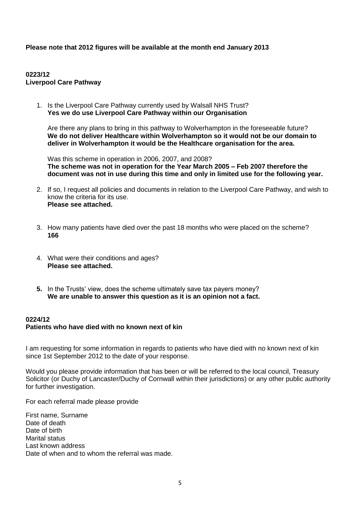**Please note that 2012 figures will be available at the month end January 2013**

## **0223/12 Liverpool Care Pathway**

1. Is the Liverpool Care Pathway currently used by Walsall NHS Trust? **Yes we do use Liverpool Care Pathway within our Organisation**

Are there any plans to bring in this pathway to Wolverhampton in the foreseeable future? **We do not deliver Healthcare within Wolverhampton so it would not be our domain to deliver in Wolverhampton it would be the Healthcare organisation for the area.**

Was this scheme in operation in 2006, 2007, and 2008? **The scheme was not in operation for the Year March 2005 – Feb 2007 therefore the document was not in use during this time and only in limited use for the following year.**

- 2. If so, I request all policies and documents in relation to the Liverpool Care Pathway, and wish to know the criteria for its use. **Please see attached.**
- 3. How many patients have died over the past 18 months who were placed on the scheme? **166**
- 4. What were their conditions and ages? **Please see attached.**
- **5.** In the Trusts' view, does the scheme ultimately save tax payers money? **We are unable to answer this question as it is an opinion not a fact.**

## **0224/12 Patients who have died with no known next of kin**

I am requesting for some information in regards to patients who have died with no known next of kin since 1st September 2012 to the date of your response.

Would you please provide information that has been or will be referred to the local council, Treasury Solicitor (or Duchy of Lancaster/Duchy of Cornwall within their jurisdictions) or any other public authority for further investigation.

For each referral made please provide

First name, Surname Date of death Date of birth Marital status Last known address Date of when and to whom the referral was made.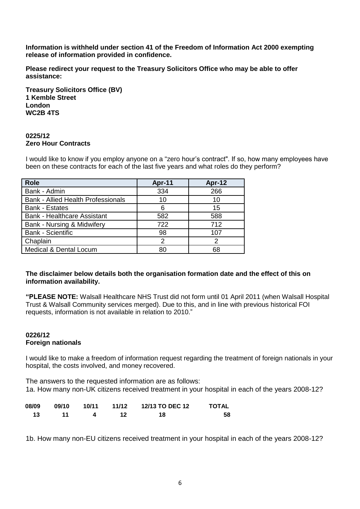**Information is withheld under section 41 of the Freedom of Information Act 2000 exempting release of information provided in confidence.** 

**Please redirect your request to the Treasury Solicitors Office who may be able to offer assistance:**

**Treasury Solicitors Office (BV) 1 Kemble Street London WC2B 4TS**

### **0225/12 Zero Hour Contracts**

I would like to know if you employ anyone on a "zero hour"s contract". If so, how many employees have been on these contracts for each of the last five years and what roles do they perform?

| <b>Role</b>                               | Apr-11 | Apr-12 |
|-------------------------------------------|--------|--------|
| Bank - Admin                              | 334    | 266    |
| <b>Bank - Allied Health Professionals</b> | 10     | 10     |
| <b>Bank - Estates</b>                     | 6      | 15     |
| <b>Bank - Healthcare Assistant</b>        | 582    | 588    |
| Bank - Nursing & Midwifery                | 722    | 712    |
| <b>Bank - Scientific</b>                  | 98     | 107    |
| Chaplain                                  | 2      | 2      |
| Medical & Dental Locum                    | 80     | 68     |

## **The disclaimer below details both the organisation formation date and the effect of this on information availability.**

**"PLEASE NOTE:** Walsall Healthcare NHS Trust did not form until 01 April 2011 (when Walsall Hospital Trust & Walsall Community services merged). Due to this, and in line with previous historical FOI requests, information is not available in relation to 2010."

## **0226/12 Foreign nationals**

I would like to make a freedom of information request regarding the treatment of foreign nationals in your hospital, the costs involved, and money recovered.

The answers to the requested information are as follows: 1a. How many non-UK citizens received treatment in your hospital in each of the years 2008-12?

| 08/09 |     | 09/10 10/11 | 11/12 | <b>12/13 TO DEC 12</b> | <b>TOTAL</b> |
|-------|-----|-------------|-------|------------------------|--------------|
| 13.   | -11 |             |       | 18                     | 58           |

1b. How many non-EU citizens received treatment in your hospital in each of the years 2008-12?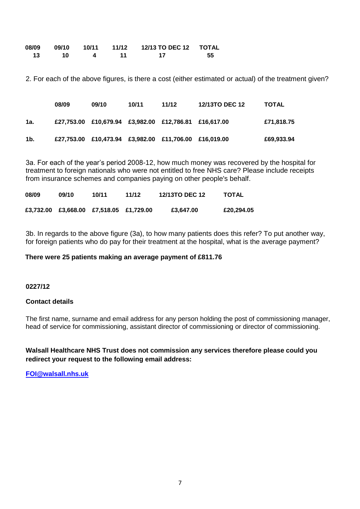|    | 08/09 09/10 | 10/11 |     |    |
|----|-------------|-------|-----|----|
| 13 | <b>10</b>   |       | -17 | 55 |

2. For each of the above figures, is there a cost (either estimated or actual) of the treatment given?

|     | 08/09 | 09/10                                                 | 10/11 | 11/12 | <b>12/13TO DEC 12</b> | <b>TOTAL</b> |
|-----|-------|-------------------------------------------------------|-------|-------|-----------------------|--------------|
| 1а. |       | £27,753.00 £10,679.94 £3,982.00 £12,786.81 £16,617.00 |       |       |                       | £71,818.75   |
| 1b. |       | £27,753.00 £10,473.94 £3,982.00 £11,706.00 £16,019.00 |       |       |                       | £69,933.94   |

3a. For each of the year"s period 2008-12, how much money was recovered by the hospital for treatment to foreign nationals who were not entitled to free NHS care? Please include receipts from insurance schemes and companies paying on other people's behalf.

| 08/09 | 09/10 | 10/11                                   | 11/12 | 12/13TO DEC 12 | <b>TOTAL</b> |
|-------|-------|-----------------------------------------|-------|----------------|--------------|
|       |       | £3,732.00 £3,668.00 £7,518.05 £1,729.00 |       | £3.647.00      | £20,294.05   |

3b. In regards to the above figure (3a), to how many patients does this refer? To put another way, for foreign patients who do pay for their treatment at the hospital, what is the average payment?

### **There were 25 patients making an average payment of £811.76**

#### **0227/12**

#### **Contact details**

The first name, surname and email address for any person holding the post of commissioning manager, head of service for commissioning, assistant director of commissioning or director of commissioning.

**Walsall Healthcare NHS Trust does not commission any services therefore please could you redirect your request to the following email address:**

**[FOI@walsall.nhs.uk](mailto:FOI@walsall.nhs.uk)**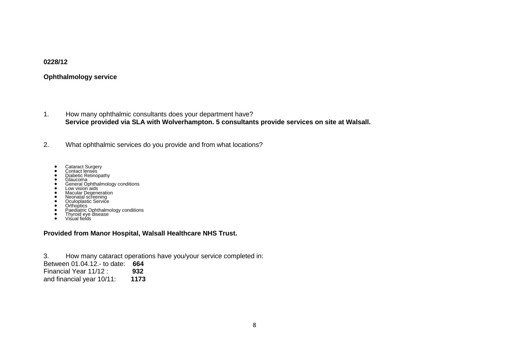#### **0228/12**

### **Ophthalmology service**

- 1. How many ophthalmic consultants does your department have? **Service provided via SLA with Wolverhampton. 5 consultants provide services on site at Walsall.**
- 2. What ophthalmic services do you provide and from what locations?
	-
	-
	-
	- Cataract Surgery Contact lenses Diabetic Retinopathy Glaucoma General Ophthalmology conditions
	-
	-
	-
	-
	- Low vision aids<br>• Macular Degeneration<br>
	Neonatal screening<br>• Oculoplastic Service<br>• Orthoptics<br>• Paediatric Ophthalmology conditions<br>
	Thyroid eye disease<br>• Visual fields
	-
	-

#### **Provided from Manor Hospital, Walsall Healthcare NHS Trust.**

3. How many cataract operations have you/your service completed in: Between 01.04.12.- to date: **664** Financial Year 11/12 : **932** and financial year 10/11: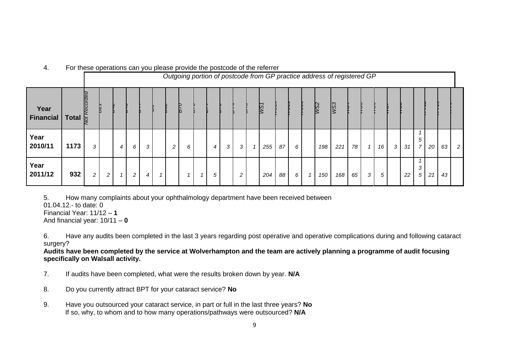|                   |                     |                        | Outgoing portion of postcode from GP practice address of registered GP |              |   |   |  |                |   |   |   |   |     |    |   |    |                 |                        |    |   |    |   |    |                     |    |    |                |
|-------------------|---------------------|------------------------|------------------------------------------------------------------------|--------------|---|---|--|----------------|---|---|---|---|-----|----|---|----|-----------------|------------------------|----|---|----|---|----|---------------------|----|----|----------------|
| Year<br>Financial | Total $\frac{1}{5}$ | <i><b>Recorded</b></i> |                                                                        |              |   |   |  |                |   |   |   |   | WST |    |   |    | W <sub>52</sub> | $\overline{\text{WS}}$ |    |   |    |   |    |                     |    |    |                |
| Year<br>2010/11   | 1173                | 3                      |                                                                        | 4            | 6 | 3 |  | $\overline{c}$ | 6 | 4 | 3 | 3 | 255 | 87 | 6 |    | 198             | 221                    | 78 |   | 16 | 3 | 31 | 5<br>$\overline{7}$ | 20 | 63 | $\overline{2}$ |
| Year<br>2011/12   | 932                 | $\overline{c}$         | $\mathbf{2}$                                                           | $\mathbf{1}$ | 2 | 4 |  |                | 1 | 5 |   | 2 | 204 | 88 | 6 | -1 | 150             | 168                    | 65 | 3 | 5  |   | 22 | 3<br>5              | 21 | 43 |                |

4. For these operations can you please provide the postcode of the referrer

5. How many complaints about your ophthalmology department have been received between

01.04.12.- to date: 0

Financial Year: 11/12 – **1**

And financial year: 10/11 – **0**

6. Have any audits been completed in the last 3 years regarding post operative and operative complications during and following cataract surgery?

**Audits have been completed by the service at Wolverhampton and the team are actively planning a programme of audit focusing specifically on Walsall activity.**

- 7. If audits have been completed, what were the results broken down by year. **N/A**
- 8. Do you currently attract BPT for your cataract service? **No**
- 9. Have you outsourced your cataract service, in part or full in the last three years? **No** If so, why, to whom and to how many operations/pathways were outsourced? **N/A**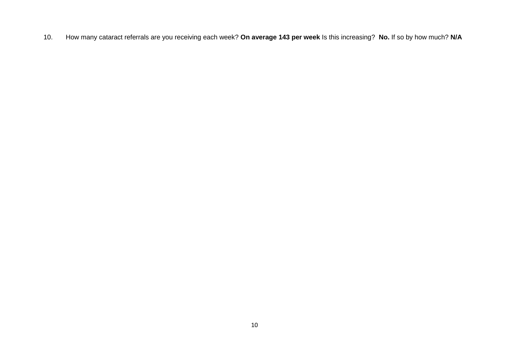10. How many cataract referrals are you receiving each week? **On average 143 per week** Is this increasing? **No.** If so by how much? **N/A**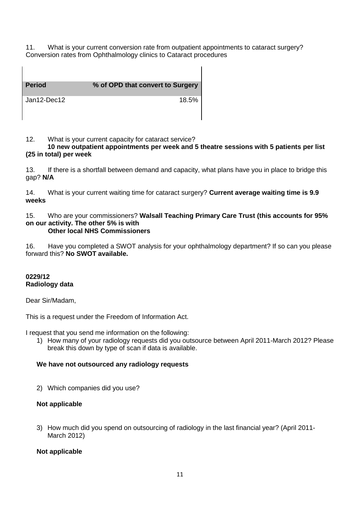11. What is your current conversion rate from outpatient appointments to cataract surgery? Conversion rates from Ophthalmology clinics to Cataract procedures

| <b>Period</b> | % of OPD that convert to Surgery |
|---------------|----------------------------------|
| Jan12-Dec12   | 18.5%                            |

12. What is your current capacity for cataract service?

## **10 new outpatient appointments per week and 5 theatre sessions with 5 patients per list (25 in total) per week**

 $\mathsf{l}$ 

13. If there is a shortfall between demand and capacity, what plans have you in place to bridge this gap? **N/A**

14. What is your current waiting time for cataract surgery? **Current average waiting time is 9.9 weeks**

#### 15. Who are your commissioners? **Walsall Teaching Primary Care Trust (this accounts for 95% on our activity. The other 5% is with Other local NHS Commissioners**

16. Have you completed a SWOT analysis for your ophthalmology department? If so can you please forward this? **No SWOT available.**

## **0229/12 Radiology data**

Dear Sir/Madam,

This is a request under the Freedom of Information Act.

I request that you send me information on the following:

1) How many of your radiology requests did you outsource between April 2011-March 2012? Please break this down by type of scan if data is available.

## **We have not outsourced any radiology requests**

2) Which companies did you use?

## **Not applicable**

3) How much did you spend on outsourcing of radiology in the last financial year? (April 2011- March 2012)

## **Not applicable**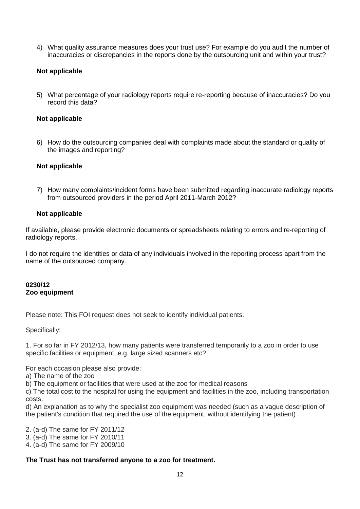4) What quality assurance measures does your trust use? For example do you audit the number of inaccuracies or discrepancies in the reports done by the outsourcing unit and within your trust?

## **Not applicable**

5) What percentage of your radiology reports require re-reporting because of inaccuracies? Do you record this data?

## **Not applicable**

6) How do the outsourcing companies deal with complaints made about the standard or quality of the images and reporting?

#### **Not applicable**

7) How many complaints/incident forms have been submitted regarding inaccurate radiology reports from outsourced providers in the period April 2011-March 2012?

#### **Not applicable**

If available, please provide electronic documents or spreadsheets relating to errors and re-reporting of radiology reports.

I do not require the identities or data of any individuals involved in the reporting process apart from the name of the outsourced company.

#### **0230/12 Zoo equipment**

#### Please note: This FOI request does not seek to identify individual patients.

Specifically:

1. For so far in FY 2012/13, how many patients were transferred temporarily to a zoo in order to use specific facilities or equipment, e.g. large sized scanners etc?

For each occasion please also provide:

a) The name of the zoo

b) The equipment or facilities that were used at the zoo for medical reasons

c) The total cost to the hospital for using the equipment and facilities in the zoo, including transportation costs.

d) An explanation as to why the specialist zoo equipment was needed (such as a vague description of the patient's condition that required the use of the equipment, without identifying the patient)

2. (a-d) The same for FY 2011/12

3. (a-d) The same for FY 2010/11

4. (a-d) The same for FY 2009/10

## **The Trust has not transferred anyone to a zoo for treatment.**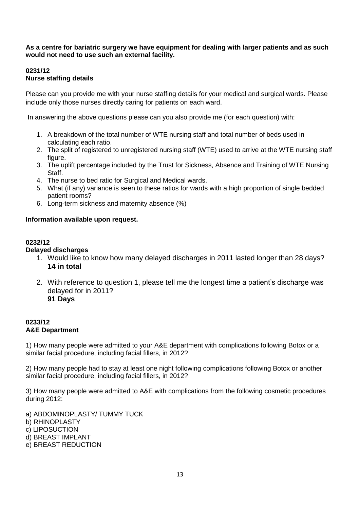## **As a centre for bariatric surgery we have equipment for dealing with larger patients and as such would not need to use such an external facility.**

## **0231/12 Nurse staffing details**

Please can you provide me with your nurse staffing details for your medical and surgical wards. Please include only those nurses directly caring for patients on each ward.

In answering the above questions please can you also provide me (for each question) with:

- 1. A breakdown of the total number of WTE nursing staff and total number of beds used in calculating each ratio.
- 2. The split of registered to unregistered nursing staff (WTE) used to arrive at the WTE nursing staff figure.
- 3. The uplift percentage included by the Trust for Sickness, Absence and Training of WTE Nursing Staff.
- 4. The nurse to bed ratio for Surgical and Medical wards.
- 5. What (if any) variance is seen to these ratios for wards with a high proportion of single bedded patient rooms?
- 6. Long-term sickness and maternity absence (%)

## **Information available upon request.**

## **0232/12**

## **Delayed discharges**

- 1. Would like to know how many delayed discharges in 2011 lasted longer than 28 days? **14 in total**
- 2. With reference to question 1, please tell me the longest time a patient"s discharge was delayed for in 2011? **91 Days**

## **0233/12 A&E Department**

1) How many people were admitted to your A&E department with complications following Botox or a similar facial procedure, including facial fillers, in 2012?

2) How many people had to stay at least one night following complications following Botox or another similar facial procedure, including facial fillers, in 2012?

3) How many people were admitted to A&E with complications from the following cosmetic procedures during 2012:

a) ABDOMINOPLASTY/ TUMMY TUCK b) RHINOPLASTY c) LIPOSUCTION d) BREAST IMPLANT e) BREAST REDUCTION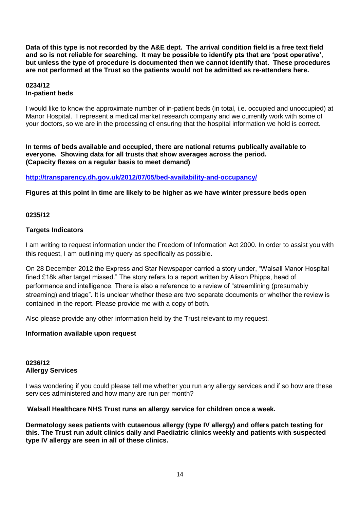**Data of this type is not recorded by the A&E dept. The arrival condition field is a free text field and so is not reliable for searching. It may be possible to identify pts that are 'post operative', but unless the type of procedure is documented then we cannot identify that. These procedures are not performed at the Trust so the patients would not be admitted as re-attenders here.**

## **0234/12 In-patient beds**

I would like to know the approximate number of in-patient beds (in total, i.e. occupied and unoccupied) at Manor Hospital. I represent a medical market research company and we currently work with some of your doctors, so we are in the processing of ensuring that the hospital information we hold is correct.

**In terms of beds available and occupied, there are national returns publically available to everyone. Showing data for all trusts that show averages across the period. (Capacity flexes on a regular basis to meet demand)**

## **<http://transparency.dh.gov.uk/2012/07/05/bed-availability-and-occupancy/>**

## **Figures at this point in time are likely to be higher as we have winter pressure beds open**

## **0235/12**

## **Targets Indicators**

I am writing to request information under the Freedom of Information Act 2000. In order to assist you with this request, I am outlining my query as specifically as possible.

On 28 December 2012 the Express and Star Newspaper carried a story under, "Walsall Manor Hospital fined £18k after target missed." The story refers to a report written by Alison Phipps, head of performance and intelligence. There is also a reference to a review of "streamlining (presumably streaming) and triage". It is unclear whether these are two separate documents or whether the review is contained in the report. Please provide me with a copy of both.

Also please provide any other information held by the Trust relevant to my request.

## **Information available upon request**

## **0236/12 Allergy Services**

I was wondering if you could please tell me whether you run any allergy services and if so how are these services administered and how many are run per month?

**Walsall Healthcare NHS Trust runs an allergy service for children once a week.**

**Dermatology sees patients with cutaenous allergy (type IV allergy) and offers patch testing for this. The Trust run adult clinics daily and Paediatric clinics weekly and patients with suspected type IV allergy are seen in all of these clinics.**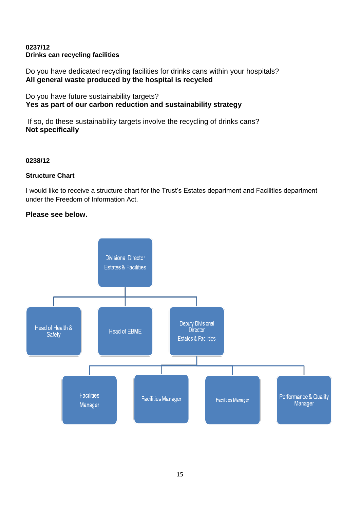## **0237/12 Drinks can recycling facilities**

Do you have dedicated recycling facilities for drinks cans within your hospitals? **All general waste produced by the hospital is recycled**

Do you have future sustainability targets? **Yes as part of our carbon reduction and sustainability strategy**

If so, do these sustainability targets involve the recycling of drinks cans? **Not specifically**

## **0238/12**

## **Structure Chart**

I would like to receive a structure chart for the Trust"s Estates department and Facilities department under the Freedom of Information Act.

## **Please see below.**

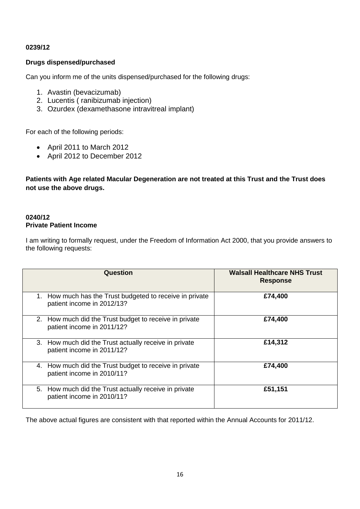## **0239/12**

## **Drugs dispensed/purchased**

Can you inform me of the units dispensed/purchased for the following drugs:

- 1. Avastin (bevacizumab)
- 2. Lucentis ( ranibizumab injection)
- 3. Ozurdex (dexamethasone intravitreal implant)

For each of the following periods:

- April 2011 to March 2012
- April 2012 to December 2012

**Patients with Age related Macular Degeneration are not treated at this Trust and the Trust does not use the above drugs.**

## **0240/12 Private Patient Income**

I am writing to formally request, under the Freedom of Information Act 2000, that you provide answers to the following requests:

| <b>Question</b>                                                                        | <b>Walsall Healthcare NHS Trust</b><br><b>Response</b> |
|----------------------------------------------------------------------------------------|--------------------------------------------------------|
| 1. How much has the Trust budgeted to receive in private<br>patient income in 2012/13? | £74,400                                                |
| 2. How much did the Trust budget to receive in private<br>patient income in 2011/12?   | £74,400                                                |
| 3. How much did the Trust actually receive in private<br>patient income in 2011/12?    | £14,312                                                |
| 4. How much did the Trust budget to receive in private<br>patient income in 2010/11?   | £74,400                                                |
| 5. How much did the Trust actually receive in private<br>patient income in 2010/11?    | £51,151                                                |

The above actual figures are consistent with that reported within the Annual Accounts for 2011/12.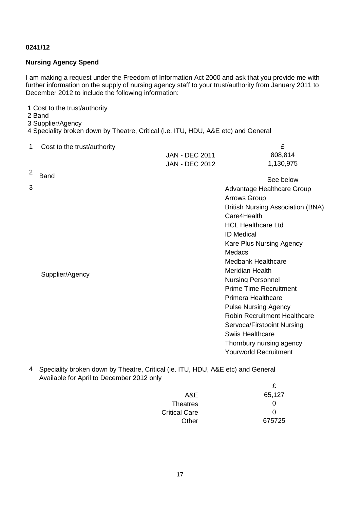## **0241/12**

## **Nursing Agency Spend**

I am making a request under the Freedom of Information Act 2000 and ask that you provide me with further information on the supply of nursing agency staff to your trust/authority from January 2011 to December 2012 to include the following information:

1 Cost to the trust/authority

- 2 Band
- 3 Supplier/Agency

4 Speciality broken down by Theatre, Critical (i.e. ITU, HDU, A&E etc) and General

| 1 Cost to the trust/authority |                       |           |
|-------------------------------|-----------------------|-----------|
|                               | <b>JAN - DEC 2011</b> | 808,814   |
|                               | <b>JAN - DEC 2012</b> | 1,130,975 |
| 2 $_{\text{Rand}}$            |                       |           |

| <u>_</u> | <b>Band</b>     | See below                           |
|----------|-----------------|-------------------------------------|
| 3        |                 | Advantage Healthcare Group          |
|          |                 | <b>Arrows Group</b>                 |
|          |                 | British Nursing Association (BNA)   |
|          |                 | Care4Health                         |
|          |                 | <b>HCL Healthcare Ltd</b>           |
|          |                 | <b>ID Medical</b>                   |
|          |                 | Kare Plus Nursing Agency            |
|          |                 | Medacs                              |
|          |                 | <b>Medbank Healthcare</b>           |
|          |                 | <b>Meridian Health</b>              |
|          | Supplier/Agency | <b>Nursing Personnel</b>            |
|          |                 | <b>Prime Time Recruitment</b>       |
|          |                 | Primera Healthcare                  |
|          |                 | <b>Pulse Nursing Agency</b>         |
|          |                 | <b>Robin Recruitment Healthcare</b> |
|          |                 | Servoca/Firstpoint Nursing          |
|          |                 | <b>Swiis Healthcare</b>             |
|          |                 | Thornbury nursing agency            |
|          |                 | <b>Yourworld Recruitment</b>        |

4 Speciality broken down by Theatre, Critical (ie. ITU, HDU, A&E etc) and General Available for April to December 2012 only

| A&E                  | 65,127 |
|----------------------|--------|
| <b>Theatres</b>      | 0      |
| <b>Critical Care</b> | 0      |
| Other                | 675725 |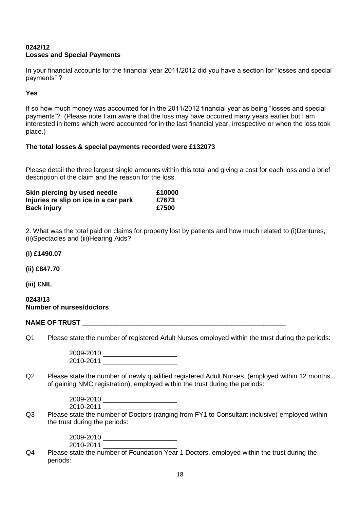## **0242/12 Losses and Special Payments**

In your financial accounts for the financial year 2011/2012 did you have a section for "losses and special payments" ?

## **Yes**

If so how much money was accounted for in the 2011/2012 financial year as being "losses and special payments"? (Please note I am aware that the loss may have occurred many years earlier but I am interested in items which were accounted for in the last financial year, irrespective or when the loss took place.)

## **The total losses & special payments recorded were £132073**

Please detail the three largest single amounts within this total and giving a cost for each loss and a brief description of the claim and the reason for the loss.

| Skin piercing by used needle          | £10000 |
|---------------------------------------|--------|
| Injuries re slip on ice in a car park | £7673  |
| <b>Back injury</b>                    | £7500  |

2. What was the total paid on claims for property lost by patients and how much related to (i)Dentures, (ii)Spectacles and (iii)Hearing Aids?

### **(i) £1490.07**

**(ii) £847.70**

**(iii) £NIL**

#### **0243/13 Number of nurses/doctors**

#### **NAME OF TRUST LEADER IN THE SET OF TRUST LEADER IN THE SET OF TRUST LEADER IN THE SET OF THE SET OF THE SET OF THE SET OF THE SET OF THE SET OF THE SET OF THE SET OF THE SET OF THE SET OF THE SET OF THE SET OF THE SET OF**

Q1 Please state the number of registered Adult Nurses employed within the trust during the periods:

2009-2010 \_\_\_\_\_\_\_\_\_\_\_\_\_\_\_\_\_\_\_\_ 2010-2011 \_\_\_\_\_\_\_\_\_\_\_\_\_\_\_\_\_\_\_\_

Q2 Please state the number of newly qualified registered Adult Nurses, (employed within 12 months of gaining NMC registration), employed within the trust during the periods:

| 2009-2010 |  |
|-----------|--|
| 2010-2011 |  |

Q3 Please state the number of Doctors (ranging from FY1 to Consultant inclusive) employed within the trust during the periods:

> 2009-2010 \_\_\_\_\_\_\_\_\_\_\_\_\_\_\_\_\_\_\_\_ 2010-2011

Q4 Please state the number of Foundation Year 1 Doctors, employed within the trust during the periods: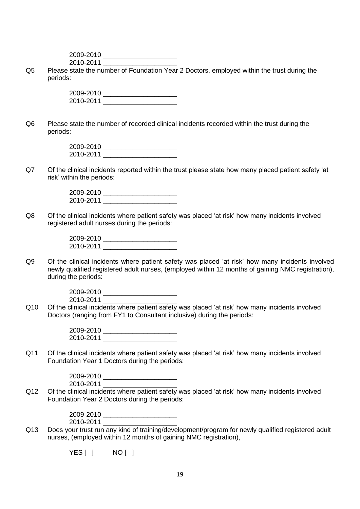2009-2010 \_\_\_\_\_\_\_\_\_\_\_\_\_\_\_\_\_\_\_\_ 2010-2011 \_\_\_\_\_\_\_\_\_\_\_\_\_\_\_\_\_\_\_\_

Q5 Please state the number of Foundation Year 2 Doctors, employed within the trust during the periods:

> 2009-2010 \_\_\_\_\_\_\_\_\_\_\_\_\_\_\_\_\_\_\_\_ 2010-2011 \_\_\_\_\_\_\_\_\_\_\_\_\_\_\_\_\_\_\_\_

Q6 Please state the number of recorded clinical incidents recorded within the trust during the periods:

| 2009-2010 |  |
|-----------|--|
| 2010-2011 |  |

Q7 Of the clinical incidents reported within the trust please state how many placed patient safety "at risk" within the periods:

| 2009-2010 |  |
|-----------|--|
| 2010-2011 |  |

Q8 Of the clinical incidents where patient safety was placed "at risk" how many incidents involved registered adult nurses during the periods:

| 2009-2010 |  |
|-----------|--|
| 2010-2011 |  |

Q9 Of the clinical incidents where patient safety was placed 'at risk' how many incidents involved newly qualified registered adult nurses, (employed within 12 months of gaining NMC registration), during the periods:

> 2009-2010 \_\_\_\_\_\_\_\_\_\_\_\_\_\_\_\_\_\_\_\_ 2010-2011

Q10 Of the clinical incidents where patient safety was placed "at risk" how many incidents involved Doctors (ranging from FY1 to Consultant inclusive) during the periods:

> 2009-2010 \_\_\_\_\_\_\_\_\_\_\_\_\_\_\_\_\_\_\_\_ 2010-2011 \_\_\_\_\_\_\_\_\_\_\_\_\_\_\_\_\_\_\_\_

Q11 Of the clinical incidents where patient safety was placed "at risk" how many incidents involved Foundation Year 1 Doctors during the periods:

> 2009-2010 \_\_\_\_\_\_\_\_\_\_\_\_\_\_\_\_\_\_\_\_ 2010-2011 \_\_\_\_\_\_\_\_\_\_\_\_\_\_\_\_\_\_\_\_

Q12 Of the clinical incidents where patient safety was placed "at risk" how many incidents involved Foundation Year 2 Doctors during the periods:

> 2009-2010 \_\_\_\_\_\_\_\_\_\_\_\_\_\_\_\_\_\_\_\_ 2010-2011

Q13 Does your trust run any kind of training/development/program for newly qualified registered adult nurses, (employed within 12 months of gaining NMC registration),

YES[] NO[]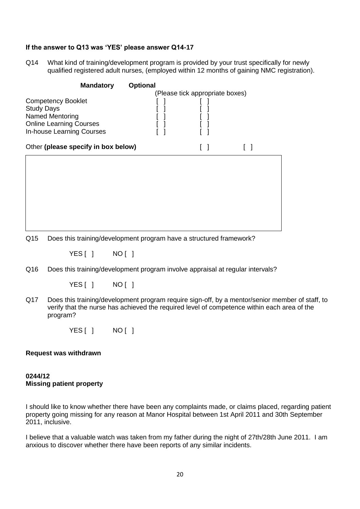## **If the answer to Q13 was 'YES' please answer Q14-17**

Q14 What kind of training/development program is provided by your trust specifically for newly qualified registered adult nurses, (employed within 12 months of gaining NMC registration).

| <b>Mandatory</b><br><b>Competency Booklet</b><br><b>Study Days</b><br><b>Named Mentoring</b><br><b>Online Learning Courses</b><br>In-house Learning Courses | <b>Optional</b> | (Please tick appropriate boxes) |  |
|-------------------------------------------------------------------------------------------------------------------------------------------------------------|-----------------|---------------------------------|--|
| Other (please specify in box below)                                                                                                                         |                 | $\Box$                          |  |
|                                                                                                                                                             |                 |                                 |  |

Q15 Does this training/development program have a structured framework?

YES [ ] NO [ ]

Q16 Does this training/development program involve appraisal at regular intervals?

YES [ ] NO [ ]

Q17 Does this training/development program require sign-off, by a mentor/senior member of staff, to verify that the nurse has achieved the required level of competence within each area of the program?

YES [ ] NO [ ]

#### **Request was withdrawn**

## **0244/12 Missing patient property**

I should like to know whether there have been any complaints made, or claims placed, regarding patient property going missing for any reason at Manor Hospital between 1st April 2011 and 30th September 2011, inclusive.

I believe that a valuable watch was taken from my father during the night of 27th/28th June 2011. I am anxious to discover whether there have been reports of any similar incidents.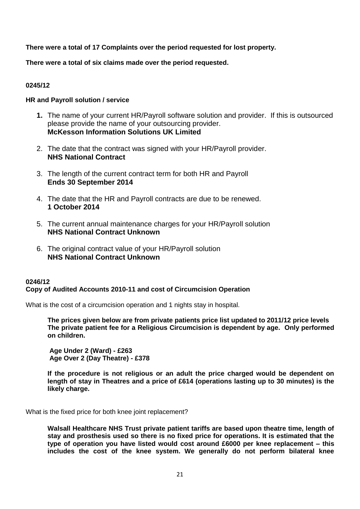**There were a total of 17 Complaints over the period requested for lost property.**

**There were a total of six claims made over the period requested.**

## **0245/12**

## **HR and Payroll solution / service**

- **1.** The name of your current HR/Payroll software solution and provider. If this is outsourced please provide the name of your outsourcing provider. **McKesson Information Solutions UK Limited**
- 2. The date that the contract was signed with your HR/Payroll provider. **NHS National Contract**
- 3. The length of the current contract term for both HR and Payroll **Ends 30 September 2014**
- 4. The date that the HR and Payroll contracts are due to be renewed. **1 October 2014**
- 5. The current annual maintenance charges for your HR/Payroll solution **NHS National Contract Unknown**
- 6. The original contract value of your HR/Payroll solution **NHS National Contract Unknown**

## **0246/12 Copy of Audited Accounts 2010-11 and cost of Circumcision Operation**

What is the cost of a circumcision operation and 1 nights stay in hospital.

**The prices given below are from private patients price list updated to 2011/12 price levels The private patient fee for a Religious Circumcision is dependent by age. Only performed on children.**

**Age Under 2 (Ward) - £263 Age Over 2 (Day Theatre) - £378**

**If the procedure is not religious or an adult the price charged would be dependent on length of stay in Theatres and a price of £614 (operations lasting up to 30 minutes) is the likely charge.**

What is the fixed price for both knee joint replacement?

**Walsall Healthcare NHS Trust private patient tariffs are based upon theatre time, length of stay and prosthesis used so there is no fixed price for operations. It is estimated that the type of operation you have listed would cost around £6000 per knee replacement – this includes the cost of the knee system. We generally do not perform bilateral knee**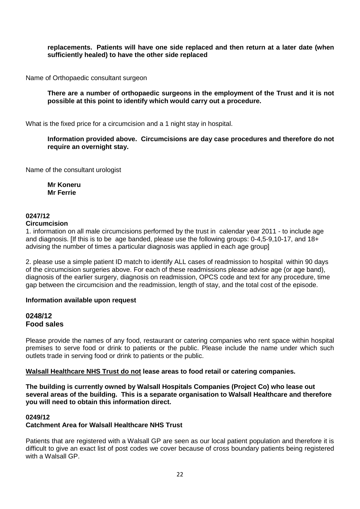**replacements. Patients will have one side replaced and then return at a later date (when sufficiently healed) to have the other side replaced**

Name of Orthopaedic consultant surgeon

**There are a number of orthopaedic surgeons in the employment of the Trust and it is not possible at this point to identify which would carry out a procedure.**

What is the fixed price for a circumcision and a 1 night stay in hospital.

**Information provided above. Circumcisions are day case procedures and therefore do not require an overnight stay.**

Name of the consultant urologist

**Mr Koneru Mr Ferrie**

## **0247/12**

#### **Circumcision**

1. information on all male circumcisions performed by the trust in calendar year 2011 - to include age and diagnosis. [If this is to be age banded, please use the following groups: 0-4,5-9,10-17, and 18+ advising the number of times a particular diagnosis was applied in each age group]

2. please use a simple patient ID match to identify ALL cases of readmission to hospital within 90 days of the circumcision surgeries above. For each of these readmissions please advise age (or age band), diagnosis of the earlier surgery, diagnosis on readmission, OPCS code and text for any procedure, time gap between the circumcision and the readmission, length of stay, and the total cost of the episode.

#### **Information available upon request**

## **0248/12 Food sales**

Please provide the names of any food, restaurant or catering companies who rent space within hospital premises to serve food or drink to patients or the public. Please include the name under which such outlets trade in serving food or drink to patients or the public.

**Walsall Healthcare NHS Trust do not lease areas to food retail or catering companies.**

**The building is currently owned by Walsall Hospitals Companies (Project Co) who lease out several areas of the building. This is a separate organisation to Walsall Healthcare and therefore you will need to obtain this information direct.**

#### **0249/12 Catchment Area for Walsall Healthcare NHS Trust**

Patients that are registered with a Walsall GP are seen as our local patient population and therefore it is difficult to give an exact list of post codes we cover because of cross boundary patients being registered with a Walsall GP.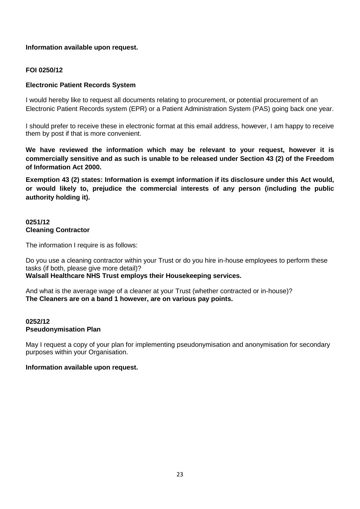## **Information available upon request.**

## **FOI 0250/12**

## **Electronic Patient Records System**

I would hereby like to request all documents relating to procurement, or potential procurement of an Electronic Patient Records system (EPR) or a Patient Administration System (PAS) going back one year.

I should prefer to receive these in electronic format at this email address, however, I am happy to receive them by post if that is more convenient.

**We have reviewed the information which may be relevant to your request, however it is commercially sensitive and as such is unable to be released under Section 43 (2) of the Freedom of Information Act 2000.**

**Exemption 43 (2) states: Information is exempt information if its disclosure under this Act would, or would likely to, prejudice the commercial interests of any person (including the public authority holding it).**

### **0251/12 Cleaning Contractor**

The information I require is as follows:

Do you use a cleaning contractor within your Trust or do you hire in-house employees to perform these tasks (if both, please give more detail)? **Walsall Healthcare NHS Trust employs their Housekeeping services.**

And what is the average wage of a cleaner at your Trust (whether contracted or in-house)? **The Cleaners are on a band 1 however, are on various pay points.**

#### **0252/12 Pseudonymisation Plan**

May I request a copy of your plan for implementing pseudonymisation and anonymisation for secondary purposes within your Organisation.

## **Information available upon request.**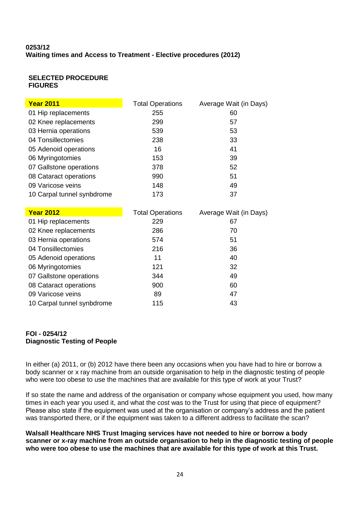## **0253/12 Waiting times and Access to Treatment - Elective procedures (2012)**

## **SELECTED PROCEDURE FIGURES**

| <b>Year 2011</b>           | <b>Total Operations</b> | Average Wait (in Days) |
|----------------------------|-------------------------|------------------------|
| 01 Hip replacements        | 255                     | 60                     |
| 02 Knee replacements       | 299                     | 57                     |
| 03 Hernia operations       | 539                     | 53                     |
| 04 Tonsillectomies         | 238                     | 33                     |
| 05 Adenoid operations      | 16                      | 41                     |
| 06 Myringotomies           | 153                     | 39                     |
| 07 Gallstone operations    | 378                     | 52                     |
| 08 Cataract operations     | 990                     | 51                     |
| 09 Varicose veins          | 148                     | 49                     |
| 10 Carpal tunnel synbdrome | 173                     | 37                     |

| <b>Year 2012</b>           | <b>Total Operations</b> | Average Wait (in Days) |
|----------------------------|-------------------------|------------------------|
| 01 Hip replacements        | 229                     | 67                     |
| 02 Knee replacements       | 286                     | 70                     |
| 03 Hernia operations       | 574                     | 51                     |
| 04 Tonsillectomies         | 216                     | 36                     |
| 05 Adenoid operations      | 11                      | 40                     |
| 06 Myringotomies           | 121                     | 32                     |
| 07 Gallstone operations    | 344                     | 49                     |
| 08 Cataract operations     | 900                     | 60                     |
| 09 Varicose veins          | 89                      | 47                     |
| 10 Carpal tunnel synbdrome | 115                     | 43                     |

## **FOI - 0254/12 Diagnostic Testing of People**

In either (a) 2011, or (b) 2012 have there been any occasions when you have had to hire or borrow a body scanner or x ray machine from an outside organisation to help in the diagnostic testing of people who were too obese to use the machines that are available for this type of work at your Trust?

If so state the name and address of the organisation or company whose equipment you used, how many times in each year you used it, and what the cost was to the Trust for using that piece of equipment? Please also state if the equipment was used at the organisation or company's address and the patient was transported there, or if the equipment was taken to a different address to facilitate the scan?

**Walsall Healthcare NHS Trust Imaging services have not needed to hire or borrow a body scanner or x-ray machine from an outside organisation to help in the diagnostic testing of people who were too obese to use the machines that are available for this type of work at this Trust.**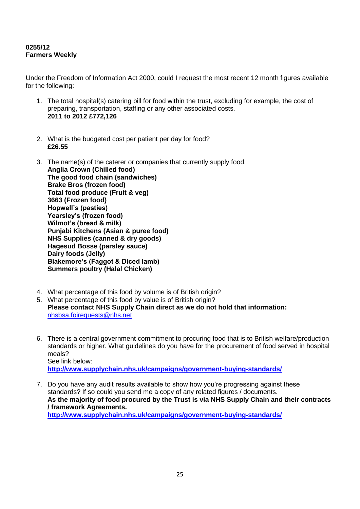## **0255/12 Farmers Weekly**

Under the Freedom of Information Act 2000, could I request the most recent 12 month figures available for the following:

- 1. The total hospital(s) catering bill for food within the trust, excluding for example, the cost of preparing, transportation, staffing or any other associated costs. **2011 to 2012 £772,126**
- 2. What is the budgeted cost per patient per day for food? **£26.55**
- 3. The name(s) of the caterer or companies that currently supply food. **Anglia Crown (Chilled food) The good food chain (sandwiches) Brake Bros (frozen food) Total food produce (Fruit & veg) 3663 (Frozen food) Hopwell's (pasties) Yearsley's (frozen food) Wilmot's (bread & milk) Punjabi Kitchens (Asian & puree food) NHS Supplies (canned & dry goods) Hagesud Bosse (parsley sauce) Dairy foods (Jelly) Blakemore's (Faggot & Diced lamb) Summers poultry (Halal Chicken)**
- 4. What percentage of this food by volume is of British origin?
- 5. What percentage of this food by value is of British origin? **Please contact NHS Supply Chain direct as we do not hold that information:** [nhsbsa.foirequests@nhs.net](mailto:nhsbsa.foirequests@nhs.net)
- 6. There is a central government commitment to procuring food that is to British welfare/production standards or higher. What guidelines do you have for the procurement of food served in hospital meals? See link below: **<http://www.supplychain.nhs.uk/campaigns/government-buying-standards/>**
- 7. Do you have any audit results available to show how you"re progressing against these standards? If so could you send me a copy of any related figures / documents. **As the majority of food procured by the Trust is via NHS Supply Chain and their contracts / framework Agreements. <http://www.supplychain.nhs.uk/campaigns/government-buying-standards/>**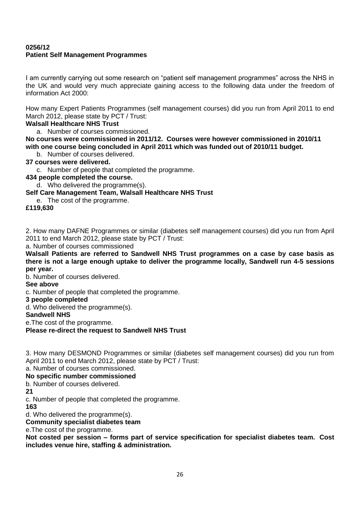## **0256/12 Patient Self Management Programmes**

I am currently carrying out some research on "patient self management programmes" across the NHS in the UK and would very much appreciate gaining access to the following data under the freedom of information Act 2000:

How many Expert Patients Programmes (self management courses) did you run from April 2011 to end March 2012, please state by PCT / Trust:

## **Walsall Healthcare NHS Trust**

a. Number of courses commissioned.

**No courses were commissioned in 2011/12. Courses were however commissioned in 2010/11 with one course being concluded in April 2011 which was funded out of 2010/11 budget.** 

b. Number of courses delivered.

## **37 courses were delivered.**

c. Number of people that completed the programme.

**434 people completed the course.**

d. Who delivered the programme(s).

## **Self Care Management Team, Walsall Healthcare NHS Trust**

e. The cost of the programme.

**£119,630**

2. How many DAFNE Programmes or similar (diabetes self management courses) did you run from April 2011 to end March 2012, please state by PCT / Trust:

a. Number of courses commissioned

**Walsall Patients are referred to Sandwell NHS Trust programmes on a case by case basis as there is not a large enough uptake to deliver the programme locally, Sandwell run 4-5 sessions per year.**

b. Number of courses delivered.

**See above**

c. Number of people that completed the programme.

**3 people completed**

d. Who delivered the programme(s).

## **Sandwell NHS**

e.The cost of the programme.

## **Please re-direct the request to Sandwell NHS Trust**

3. How many DESMOND Programmes or similar (diabetes self management courses) did you run from April 2011 to end March 2012, please state by PCT / Trust:

a. Number of courses commissioned.

## **No specific number commissioned**

b. Number of courses delivered.

**21**

c. Number of people that completed the programme.

**163**

d. Who delivered the programme(s).

**Community specialist diabetes team**

e.The cost of the programme.

**Not costed per session – forms part of service specification for specialist diabetes team. Cost includes venue hire, staffing & administration.**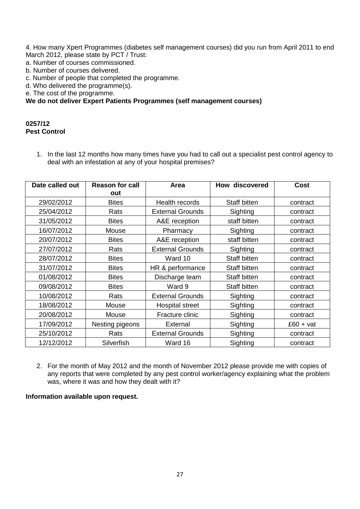4. How many Xpert Programmes (diabetes self management courses) did you run from April 2011 to end March 2012, please state by PCT / Trust:

a. Number of courses commissioned.

- b. Number of courses delivered.
- c. Number of people that completed the programme.
- d. Who delivered the programme(s).

e. The cost of the programme.

## **We do not deliver Expert Patients Programmes (self management courses)**

#### **0257/12 Pest Control**

1. In the last 12 months how many times have you had to call out a specialist pest control agency to deal with an infestation at any of your hospital premises?

| Date called out | <b>Reason for call</b><br>out | Area                    | How discovered | <b>Cost</b> |
|-----------------|-------------------------------|-------------------------|----------------|-------------|
| 29/02/2012      | <b>Bites</b>                  | Health records          | Staff bitten   | contract    |
| 25/04/2012      | Rats                          | <b>External Grounds</b> | Sighting       | contract    |
| 31/05/2012      | <b>Bites</b>                  | A&E reception           | staff bitten   | contract    |
| 16/07/2012      | Mouse                         | Pharmacy                | Sighting       | contract    |
| 20/07/2012      | <b>Bites</b>                  | A&E reception           | staff bitten   | contract    |
| 27/07/2012      | Rats                          | <b>External Grounds</b> | Sighting       | contract    |
| 28/07/2012      | <b>Bites</b>                  | Ward 10                 | Staff bitten   | contract    |
| 31/07/2012      | <b>Bites</b>                  | HR & performance        | Staff bitten   | contract    |
| 01/08/2012      | <b>Bites</b>                  | Discharge team          | Staff bitten   | contract    |
| 09/08/2012      | <b>Bites</b>                  | Ward 9                  | Staff bitten   | contract    |
| 10/08/2012      | Rats                          | <b>External Grounds</b> | Sighting       | contract    |
| 18/08/2012      | Mouse                         | <b>Hospital street</b>  | Sighting       | contract    |
| 20/08/2012      | Mouse                         | Fracture clinic         | Sighting       | contract    |
| 17/09/2012      | Nesting pigeons               | External                | Sighting       | $£60 + vat$ |
| 25/10/2012      | Rats                          | <b>External Grounds</b> | Sighting       | contract    |
| 12/12/2012      | Silverfish                    | Ward 16                 | Sighting       | contract    |

2. For the month of May 2012 and the month of November 2012 please provide me with copies of any reports that were completed by any pest control worker/agency explaining what the problem was, where it was and how they dealt with it?

#### **Information available upon request.**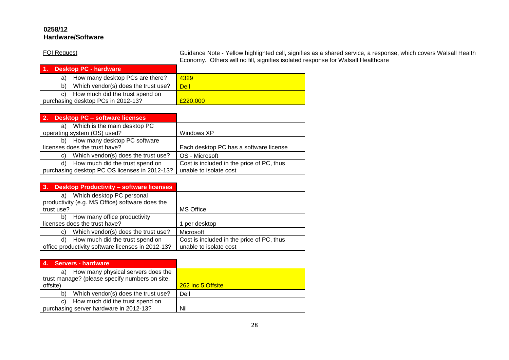## **0258/12 Hardware/Software**

FOI Request Guidance Note - Yellow highlighted cell, signifies as a shared service, a response, which covers Walsall Health Economy. Others will no fill, signifies isolated response for Walsall Healthcare

| 1. Desktop PC - hardware                  |             |
|-------------------------------------------|-------------|
| How many desktop PCs are there?<br>a)     | 4329        |
| Which vendor(s) does the trust use?<br>b) | <b>Dell</b> |
| How much did the trust spend on<br>C)     |             |
| purchasing desktop PCs in 2012-13?        | £220,000    |

| 2.<br><b>Desktop PC - software licenses</b>   |                                           |
|-----------------------------------------------|-------------------------------------------|
| Which is the main desktop PC<br>a)            |                                           |
| operating system (OS) used?                   | Windows XP                                |
| How many desktop PC software<br>b)            |                                           |
| licenses does the trust have?                 | Each desktop PC has a software license    |
| Which vendor(s) does the trust use?<br>C)     | OS - Microsoft                            |
| How much did the trust spend on<br>d)         | Cost is included in the price of PC, thus |
| purchasing desktop PC OS licenses in 2012-13? | unable to isolate cost                    |

| <b>Desktop Productivity - software licenses</b><br>-3.              |                                           |
|---------------------------------------------------------------------|-------------------------------------------|
| Which desktop PC personal<br>a)                                     |                                           |
| productivity (e.g. MS Office) software does the<br>trust use?       | <b>MS Office</b>                          |
|                                                                     |                                           |
| How many office productivity<br>b)<br>licenses does the trust have? | per desktop                               |
| Which vendor(s) does the trust use?<br>C)                           | Microsoft                                 |
| How much did the trust spend on<br>d)                               | Cost is included in the price of PC, thus |
| office productivity software licenses in 2012-13?                   | unable to isolate cost                    |

| <b>Servers - hardware</b>                                                                  |                   |
|--------------------------------------------------------------------------------------------|-------------------|
| How many physical servers does the<br>a)<br>trust manage? (please specify numbers on site, |                   |
| offsite)                                                                                   | 262 inc 5 Offsite |
| Which vendor(s) does the trust use?<br>b)                                                  | Dell              |
| How much did the trust spend on<br>C)                                                      |                   |
| purchasing server hardware in 2012-13?                                                     | Nil               |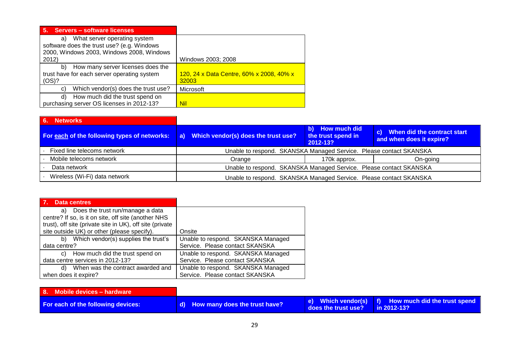| <b>Servers - software licenses</b><br>5.                                                                                               |                                                   |
|----------------------------------------------------------------------------------------------------------------------------------------|---------------------------------------------------|
| What server operating system<br>a)<br>software does the trust use? (e.g. Windows<br>2000, Windows 2003, Windows 2008, Windows<br>2012) | Windows 2003; 2008                                |
| How many server licenses does the<br>b)<br>trust have for each server operating system<br>(OS)?                                        | 120, 24 x Data Centre, 60% x 2008, 40% x<br>32003 |
| Which vendor(s) does the trust use?<br>C)                                                                                              | Microsoft                                         |
| How much did the trust spend on<br>d)<br>purchasing server OS licenses in 2012-13?                                                     | Nil                                               |

| 6. Networks                                  |                                                                    |                                                   |                                                            |
|----------------------------------------------|--------------------------------------------------------------------|---------------------------------------------------|------------------------------------------------------------|
| For each of the following types of networks: | a) Which vendor(s) does the trust use?                             | b) How much did<br>the trust spend in<br>2012-13? | c) When did the contract start<br>and when does it expire? |
| Fixed line telecoms network                  | Unable to respond. SKANSKA Managed Service. Please contact SKANSKA |                                                   |                                                            |
| Mobile telecoms network                      | Orange                                                             | 170k approx.                                      | On-going                                                   |
| Data network                                 | Unable to respond. SKANSKA Managed Service. Please contact SKANSKA |                                                   |                                                            |
| Wireless (Wi-Fi) data network                | Unable to respond. SKANSKA Managed Service. Please contact SKANSKA |                                                   |                                                            |

| Data centres<br><b>E</b> 7.7                             |                                    |
|----------------------------------------------------------|------------------------------------|
| Does the trust run/manage a data<br>a)                   |                                    |
| centre? If so, is it on site, off site (another NHS      |                                    |
| trust), off site (private site in UK), off site (private |                                    |
| site outside UK) or other (please specify).              | Onsite                             |
| b) Which vendor(s) supplies the trust's                  | Unable to respond. SKANSKA Managed |
| data centre?                                             | Service. Please contact SKANSKA    |
| How much did the trust spend on<br>C)                    | Unable to respond. SKANSKA Managed |
| data centre services in 2012-13?                         | Service. Please contact SKANSKA    |
| When was the contract awarded and<br>d)                  | Unable to respond. SKANSKA Managed |
| when does it expire?                                     | Service. Please contact SKANSKA    |

| 8. Mobile devices - hardware              |                                  |                                 |                                                      |
|-------------------------------------------|----------------------------------|---------------------------------|------------------------------------------------------|
| <b>For each of the following devices:</b> | d) How many does the trust have? | does the trust use? in 2012-13? | e) Which vendor(s)   f) How much did the trust spend |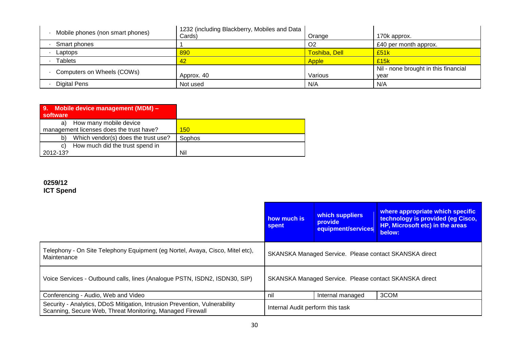| Mobile phones (non smart phones) | 1232 (including Blackberry, Mobiles and Data<br>Cards) | Orange               | 170k approx.                                 |
|----------------------------------|--------------------------------------------------------|----------------------|----------------------------------------------|
| Smart phones                     |                                                        | O <sub>2</sub>       | £40 per month approx.                        |
| Laptops                          | 890                                                    | <b>Toshiba, Dell</b> | £51k                                         |
| Tablets                          | 42                                                     | <b>Apple</b>         | £15k                                         |
| Computers on Wheels (COWs)       | Approx. 40                                             | Various              | Nil - none brought in this financial<br>year |
| <b>Digital Pens</b>              | Not used                                               | N/A                  | N/A                                          |

| 9. Mobile device management (MDM) -<br>software                          |        |
|--------------------------------------------------------------------------|--------|
| How many mobile device<br>a)<br>management licenses does the trust have? | 150    |
| Which vendor(s) does the trust use?<br>b)                                | Sophos |
| How much did the trust spend in<br>C)                                    |        |
| 2012-13?                                                                 | Nil    |

#### **0259/12 ICT Spend**

|                                                                                                                                         | how much is<br>spent                                   | which suppliers<br>provide<br>equipment/services | where appropriate which specific<br>technology is provided (eg Cisco,<br>HP, Microsoft etc) in the areas<br>below: |
|-----------------------------------------------------------------------------------------------------------------------------------------|--------------------------------------------------------|--------------------------------------------------|--------------------------------------------------------------------------------------------------------------------|
| Telephony - On Site Telephony Equipment (eg Nortel, Avaya, Cisco, Mitel etc),<br>Maintenance                                            | SKANSKA Managed Service. Please contact SKANSKA direct |                                                  |                                                                                                                    |
| Voice Services - Outbound calls, lines (Analogue PSTN, ISDN2, ISDN30, SIP)                                                              | SKANSKA Managed Service. Please contact SKANSKA direct |                                                  |                                                                                                                    |
| Conferencing - Audio, Web and Video                                                                                                     | nil                                                    | Internal managed                                 | 3COM                                                                                                               |
| Security - Analytics, DDoS Mitigation, Intrusion Prevention, Vulnerability<br>Scanning, Secure Web, Threat Monitoring, Managed Firewall | Internal Audit perform this task                       |                                                  |                                                                                                                    |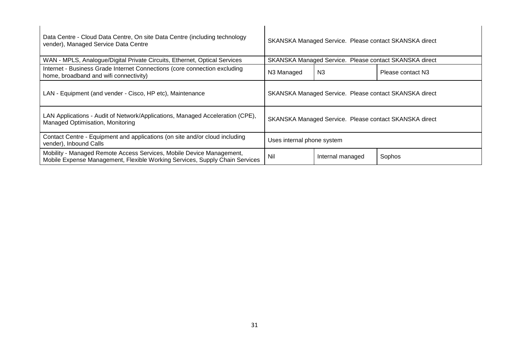| Data Centre - Cloud Data Centre, On site Data Centre (including technology<br>vender), Managed Service Data Centre                                  | SKANSKA Managed Service. Please contact SKANSKA direct |                  |                   |
|-----------------------------------------------------------------------------------------------------------------------------------------------------|--------------------------------------------------------|------------------|-------------------|
| WAN - MPLS, Analogue/Digital Private Circuits, Ethernet, Optical Services                                                                           | SKANSKA Managed Service. Please contact SKANSKA direct |                  |                   |
| Internet - Business Grade Internet Connections (core connection excluding<br>home, broadband and wifi connectivity)                                 | N3 Managed                                             | N <sub>3</sub>   | Please contact N3 |
| LAN - Equipment (and vender - Cisco, HP etc), Maintenance                                                                                           | SKANSKA Managed Service. Please contact SKANSKA direct |                  |                   |
| LAN Applications - Audit of Network/Applications, Managed Acceleration (CPE),<br>Managed Optimisation, Monitoring                                   | SKANSKA Managed Service. Please contact SKANSKA direct |                  |                   |
| Contact Centre - Equipment and applications (on site and/or cloud including<br>vender), Inbound Calls                                               | Uses internal phone system                             |                  |                   |
| Mobility - Managed Remote Access Services, Mobile Device Management,<br>Mobile Expense Management, Flexible Working Services, Supply Chain Services | Nil                                                    | Internal managed | Sophos            |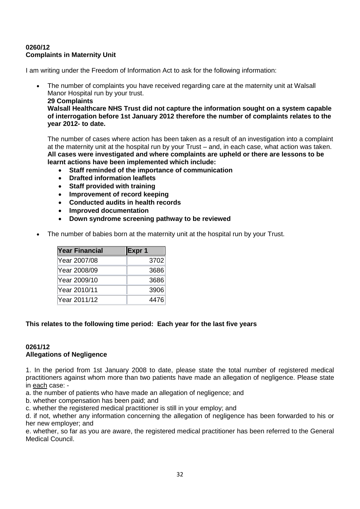## **0260/12 Complaints in Maternity Unit**

I am writing under the Freedom of Information Act to ask for the following information:

 The number of complaints you have received regarding care at the maternity unit at Walsall Manor Hospital run by your trust. **29 Complaints Walsall Healthcare NHS Trust did not capture the information sought on a system capable of interrogation before 1st January 2012 therefore the number of complaints relates to the year 2012- to date.** 

The number of cases where action has been taken as a result of an investigation into a complaint at the maternity unit at the hospital run by your Trust – and, in each case, what action was taken. **All cases were investigated and where complaints are upheld or there are lessons to be learnt actions have been implemented which include:**

- **Staff reminded of the importance of communication**
- **Drafted information leaflets**
- **Staff provided with training**
- **Improvement of record keeping**
- **Conducted audits in health records**
- **Improved documentation**
- **Down syndrome screening pathway to be reviewed**
- The number of babies born at the maternity unit at the hospital run by your Trust.

| <b>Year Financial</b> | Expr 1 |
|-----------------------|--------|
| Year 2007/08          | 3702   |
| Year 2008/09          | 3686   |
| Year 2009/10          | 3686   |
| Year 2010/11          | 3906   |
| Year 2011/12          | 4476   |

## **This relates to the following time period: Each year for the last five years**

## **0261/12 Allegations of Negligence**

1. In the period from 1st January 2008 to date, please state the total number of registered medical practitioners against whom more than two patients have made an allegation of negligence. Please state in each case: -

a. the number of patients who have made an allegation of negligence; and

b. whether compensation has been paid; and

c. whether the registered medical practitioner is still in your employ; and

d. if not, whether any information concerning the allegation of negligence has been forwarded to his or her new employer; and

e. whether, so far as you are aware, the registered medical practitioner has been referred to the General Medical Council.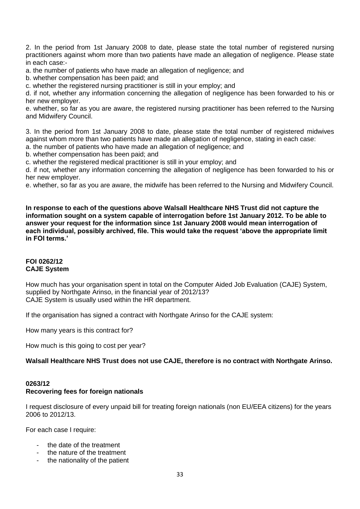2. In the period from 1st January 2008 to date, please state the total number of registered nursing practitioners against whom more than two patients have made an allegation of negligence. Please state in each case:-

a. the number of patients who have made an allegation of negligence; and

b. whether compensation has been paid; and

c. whether the registered nursing practitioner is still in your employ; and

d. if not, whether any information concerning the allegation of negligence has been forwarded to his or her new employer.

e. whether, so far as you are aware, the registered nursing practitioner has been referred to the Nursing and Midwifery Council.

3. In the period from 1st January 2008 to date, please state the total number of registered midwives against whom more than two patients have made an allegation of negligence, stating in each case:

a. the number of patients who have made an allegation of negligence; and

b. whether compensation has been paid; and

c. whether the registered medical practitioner is still in your employ; and

d. if not, whether any information concerning the allegation of negligence has been forwarded to his or her new employer.

e. whether, so far as you are aware, the midwife has been referred to the Nursing and Midwifery Council.

**In response to each of the questions above Walsall Healthcare NHS Trust did not capture the information sought on a system capable of interrogation before 1st January 2012. To be able to answer your request for the information since 1st January 2008 would mean interrogation of each individual, possibly archived, file. This would take the request 'above the appropriate limit in FOI terms.'**

## **FOI 0262/12 CAJE System**

How much has your organisation spent in total on the Computer Aided Job Evaluation (CAJE) System, supplied by Northgate Arinso, in the financial year of 2012/13? CAJE System is usually used within the HR department.

If the organisation has signed a contract with Northgate Arinso for the CAJE system:

How many years is this contract for?

How much is this going to cost per year?

## **Walsall Healthcare NHS Trust does not use CAJE, therefore is no contract with Northgate Arinso.**

#### **0263/12 Recovering fees for foreign nationals**

I request disclosure of every unpaid bill for treating foreign nationals (non EU/EEA citizens) for the years 2006 to 2012/13.

For each case I require:

- the date of the treatment
- the nature of the treatment
- the nationality of the patient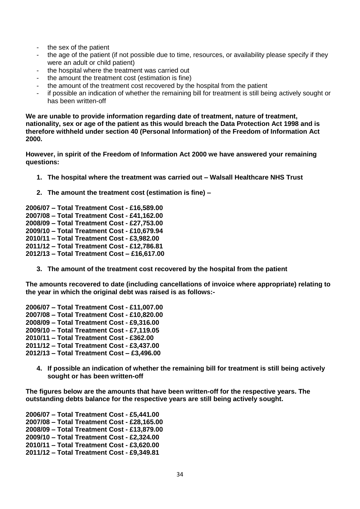- the sex of the patient
- the age of the patient (if not possible due to time, resources, or availability please specify if they were an adult or child patient)
- the hospital where the treatment was carried out
- the amount the treatment cost (estimation is fine)
- the amount of the treatment cost recovered by the hospital from the patient
- if possible an indication of whether the remaining bill for treatment is still being actively sought or has been written-off

**We are unable to provide information regarding date of treatment, nature of treatment, nationality, sex or age of the patient as this would breach the Data Protection Act 1998 and is therefore withheld under section 40 (Personal Information) of the Freedom of Information Act 2000.**

**However, in spirit of the Freedom of Information Act 2000 we have answered your remaining questions:**

- **1. The hospital where the treatment was carried out – Walsall Healthcare NHS Trust**
- **2. The amount the treatment cost (estimation is fine) –**

**2006/07 – Total Treatment Cost - £16,589.00 2007/08 – Total Treatment Cost - £41,162.00 2008/09 – Total Treatment Cost - £27,753.00 2009/10 – Total Treatment Cost - £10,679.94 2010/11 – Total Treatment Cost - £3,982.00 2011/12 – Total Treatment Cost - £12,786.81 2012/13 – Total Treatment Cost – £16,617.00**

**3. The amount of the treatment cost recovered by the hospital from the patient**

**The amounts recovered to date (including cancellations of invoice where appropriate) relating to the year in which the original debt was raised is as follows:-**

**2006/07 – Total Treatment Cost - £11,007.00 2007/08 – Total Treatment Cost - £10,820.00 2008/09 – Total Treatment Cost - £9,316.00 2009/10 – Total Treatment Cost - £7,119.05 2010/11 – Total Treatment Cost - £362.00 2011/12 – Total Treatment Cost - £3,437.00**

- **2012/13 – Total Treatment Cost – £3,496.00**
	- **4. If possible an indication of whether the remaining bill for treatment is still being actively sought or has been written-off**

**The figures below are the amounts that have been written-off for the respective years. The outstanding debts balance for the respective years are still being actively sought.**

**2006/07 – Total Treatment Cost - £5,441.00 2007/08 – Total Treatment Cost - £28,165.00 2008/09 – Total Treatment Cost - £13,879.00 2009/10 – Total Treatment Cost - £2,324.00 2010/11 – Total Treatment Cost - £3,620.00 2011/12 – Total Treatment Cost - £9,349.81**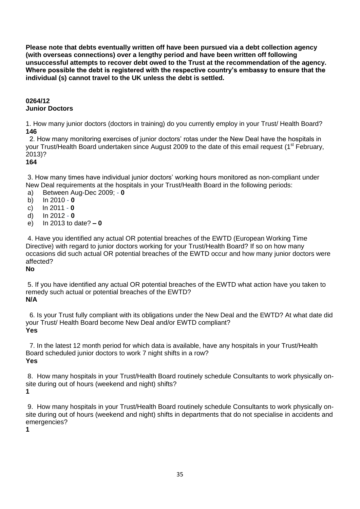**Please note that debts eventually written off have been pursued via a debt collection agency (with overseas connections) over a lengthy period and have been written off following unsuccessful attempts to recover debt owed to the Trust at the recommendation of the agency. Where possible the debt is registered with the respective country's embassy to ensure that the individual (s) cannot travel to the UK unless the debt is settled.**

## **0264/12 Junior Doctors**

1. How many junior doctors (doctors in training) do you currently employ in your Trust/ Health Board? **146**

 2. How many monitoring exercises of junior doctors" rotas under the New Deal have the hospitals in your Trust/Health Board undertaken since August 2009 to the date of this email request (1<sup>st</sup> February, 2013)?

## **164**

3. How many times have individual junior doctors' working hours monitored as non-compliant under New Deal requirements at the hospitals in your Trust/Health Board in the following periods:

- a) Between Aug-Dec 2009; **0**
- b) In 2010 **0**
- c) In 2011 **0**
- d) In 2012 **0**
- e) In 2013 to date? **– 0**

4. Have you identified any actual OR potential breaches of the EWTD (European Working Time Directive) with regard to junior doctors working for your Trust/Health Board? If so on how many occasions did such actual OR potential breaches of the EWTD occur and how many junior doctors were affected?

## **No**

5. If you have identified any actual OR potential breaches of the EWTD what action have you taken to remedy such actual or potential breaches of the EWTD? **N/A**

 6. Is your Trust fully compliant with its obligations under the New Deal and the EWTD? At what date did your Trust/ Health Board become New Deal and/or EWTD compliant? **Yes**

 7. In the latest 12 month period for which data is available, have any hospitals in your Trust/Health Board scheduled junior doctors to work 7 night shifts in a row? **Yes**

8. How many hospitals in your Trust/Health Board routinely schedule Consultants to work physically onsite during out of hours (weekend and night) shifts? **1**

9. How many hospitals in your Trust/Health Board routinely schedule Consultants to work physically onsite during out of hours (weekend and night) shifts in departments that do not specialise in accidents and emergencies?

**1**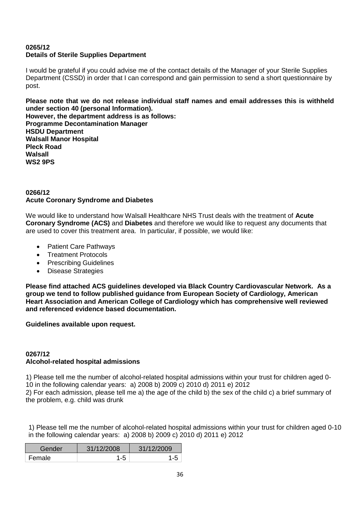## **0265/12 Details of Sterile Supplies Department**

I would be grateful if you could advise me of the contact details of the Manager of your Sterile Supplies Department (CSSD) in order that I can correspond and gain permission to send a short questionnaire by post.

**Please note that we do not release individual staff names and email addresses this is withheld under section 40 (personal Information). However, the department address is as follows: Programme Decontamination Manager HSDU Department Walsall Manor Hospital Pleck Road Walsall WS2 9PS**

## **0266/12 Acute Coronary Syndrome and Diabetes**

We would like to understand how Walsall Healthcare NHS Trust deals with the treatment of **Acute Coronary Syndrome (ACS)** and **Diabetes** and therefore we would like to request any documents that are used to cover this treatment area. In particular, if possible, we would like:

- Patient Care Pathways
- Treatment Protocols
- Prescribing Guidelines
- Disease Strategies

**Please find attached ACS guidelines developed via Black Country Cardiovascular Network. As a group we tend to follow published guidance from European Society of Cardiology, American Heart Association and American College of Cardiology which has comprehensive well reviewed and referenced evidence based documentation.**

**Guidelines available upon request.**

## **0267/12 Alcohol-related hospital admissions**

1) Please tell me the number of alcohol-related hospital admissions within your trust for children aged 0- 10 in the following calendar years: a) 2008 b) 2009 c) 2010 d) 2011 e) 2012

2) For each admission, please tell me a) the age of the child b) the sex of the child c) a brief summary of the problem, e.g. child was drunk

1) Please tell me the number of alcohol-related hospital admissions within your trust for children aged 0-10 in the following calendar years: a) 2008 b) 2009 c) 2010 d) 2011 e) 2012

| Gender | 31/12/2008 | 31/12/2009 |
|--------|------------|------------|
| Female | -5         |            |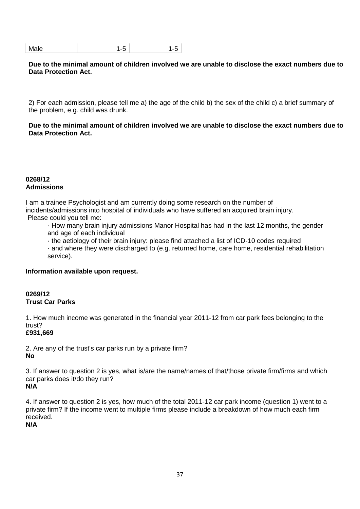| Male | ∼ |
|------|---|

#### **Due to the minimal amount of children involved we are unable to disclose the exact numbers due to Data Protection Act.**

2) For each admission, please tell me a) the age of the child b) the sex of the child c) a brief summary of the problem, e.g. child was drunk.

**Due to the minimal amount of children involved we are unable to disclose the exact numbers due to Data Protection Act.**

#### **0268/12 Admissions**

I am a trainee Psychologist and am currently doing some research on the number of incidents/admissions into hospital of individuals who have suffered an acquired brain injury. Please could you tell me:

· How many brain injury admissions Manor Hospital has had in the last 12 months, the gender and age of each individual

- · the aetiology of their brain injury: please find attached a list of ICD-10 codes required
- · and where they were discharged to (e.g. returned home, care home, residential rehabilitation service).

#### **Information available upon request.**

#### **0269/12 Trust Car Parks**

1. How much income was generated in the financial year 2011-12 from car park fees belonging to the trust?

#### **£931,669**

2. Are any of the trust's car parks run by a private firm? **No**

3. If answer to question 2 is yes, what is/are the name/names of that/those private firm/firms and which car parks does it/do they run?

# **N/A**

4. If answer to question 2 is yes, how much of the total 2011-12 car park income (question 1) went to a private firm? If the income went to multiple firms please include a breakdown of how much each firm received.

**N/A**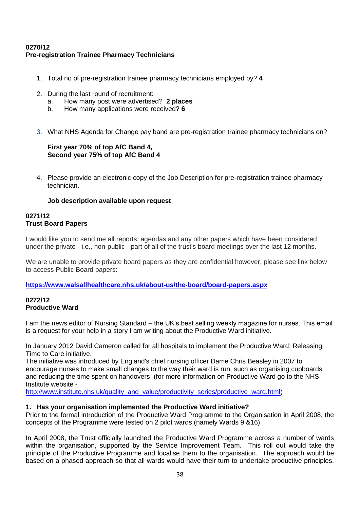# **0270/12 Pre-registration Trainee Pharmacy Technicians**

- 1. Total no of pre-registration trainee pharmacy technicians employed by? **4**
- 2. During the last round of recruitment:
	- a. How many post were advertised? **2 places**
	- b. How many applications were received? **6**
- 3. What NHS Agenda for Change pay band are pre-registration trainee pharmacy technicians on?

#### **First year 70% of top AfC Band 4, Second year 75% of top AfC Band 4**

4. Please provide an electronic copy of the Job Description for pre-registration trainee pharmacy technician.

# **Job description available upon request**

#### **0271/12 Trust Board Papers**

I would like you to send me all reports, agendas and any other papers which have been considered under the private - i.e., non-public - part of all of the trust's board meetings over the last 12 months.

We are unable to provide private board papers as they are confidential however, please see link below to access Public Board papers:

**<https://www.walsallhealthcare.nhs.uk/about-us/the-board/board-papers.aspx>**

# **0272/12 Productive Ward**

I am the news editor of Nursing Standard – the UK"s best selling weekly magazine for nurses. This email is a request for your help in a story I am writing about the Productive Ward initiative.

In January 2012 David Cameron called for all hospitals to implement the Productive Ward: Releasing Time to Care initiative.

The initiative was introduced by England's chief nursing officer Dame Chris Beasley in 2007 to encourage nurses to make small changes to the way their ward is run, such as organising cupboards and reducing the time spent on handovers. (for more information on Productive Ward go to the NHS Institute website -

[http://www.institute.nhs.uk/quality\\_and\\_value/productivity\\_series/productive\\_ward.html\)](http://www.institute.nhs.uk/quality_and_value/productivity_series/productive_ward.html)

#### **1. Has your organisation implemented the Productive Ward initiative?**

Prior to the formal introduction of the Productive Ward Programme to the Organisation in April 2008, the concepts of the Programme were tested on 2 pilot wards (namely Wards 9 &16).

In April 2008, the Trust officially launched the Productive Ward Programme across a number of wards within the organisation, supported by the Service Improvement Team. This roll out would take the principle of the Productive Programme and localise them to the organisation. The approach would be based on a phased approach so that all wards would have their turn to undertake productive principles.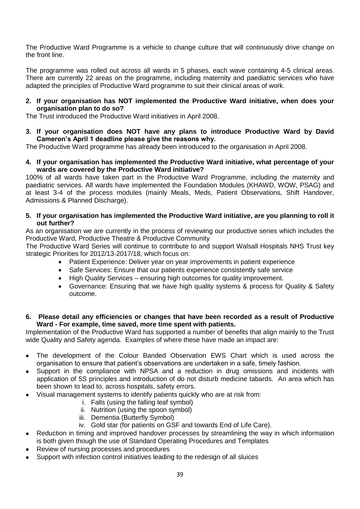The Productive Ward Programme is a vehicle to change culture that will continuously drive change on the front line.

The programme was rolled out across all wards in 5 phases, each wave containing 4-5 clinical areas. There are currently 22 areas on the programme, including maternity and paediatric services who have adapted the principles of Productive Ward programme to suit their clinical areas of work.

#### **2. If your organisation has NOT implemented the Productive Ward initiative, when does your organisation plan to do so?**

The Trust introduced the Productive Ward initiatives in April 2008.

**3. If your organisation does NOT have any plans to introduce Productive Ward by David Cameron's April 1 deadline please give the reasons why.**

The Productive Ward programme has already been introduced to the organisation in April 2008.

**4. If your organisation has implemented the Productive Ward initiative, what percentage of your wards are covered by the Productive Ward initiative?**

100% of all wards have taken part in the Productive Ward Programme, including the maternity and paediatric services. All wards have implemented the Foundation Modules (KHAWD, WOW, PSAG) and at least 3-4 of the process modules (mainly Meals, Meds, Patient Observations, Shift Handover, Admissions & Planned Discharge).

**5. If your organisation has implemented the Productive Ward initiative, are you planning to roll it out further?**

As an organisation we are currently in the process of reviewing our productive series which includes the Productive Ward, Productive Theatre & Productive Community

The Productive Ward Series will continue to contribute to and support Walsall Hospitals NHS Trust key strategic Priorities for 2012/13-2017/18, which focus on:

- Patient Experience: Deliver year on year improvements in patient experience
- Safe Services: Ensure that our patients experience consistently safe service
- High Quality Services ensuring high outcomes for quality improvement.
- Governance: Ensuring that we have high quality systems & process for Quality & Safety outcome.

#### **6. Please detail any efficiencies or changes that have been recorded as a result of Productive Ward - For example, time saved, more time spent with patients.**

Implementation of the Productive Ward has supported a number of benefits that align mainly to the Trust wide Quality and Safety agenda. Examples of where these have made an impact are:

- The development of the Colour Banded Observation EWS Chart which is used across the organisation to ensure that patient"s observations are undertaken in a safe, timely fashion.
- Support in the compliance with NPSA and a reduction in drug omissions and incidents with application of 5S principles and introduction of do not disturb medicine tabards. An area which has been shown to lead to, across hospitals, safety errors.
- Visual management systems to identify patients quickly who are at risk from:
	- i. Falls (using the falling leaf symbol)
	- ii. Nutrition (using the spoon symbol)
	- iii. Dementia (Butterfly Symbol)
	- iv. Gold star (for patients on GSF and towards End of Life Care).
- Reduction in timing and improved handover processes by streamlining the way in which information is both given though the use of Standard Operating Procedures and Templates
- Review of nursing processes and procedures
- Support with infection control initiatives leading to the redesign of all sluices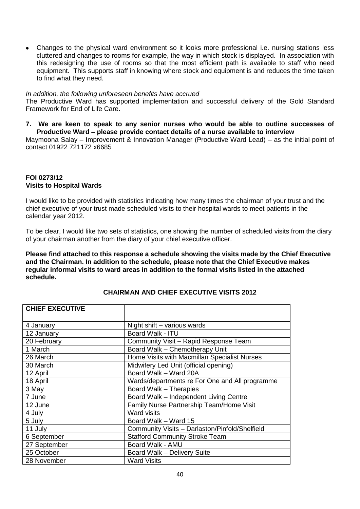Changes to the physical ward environment so it looks more professional i.e. nursing stations less cluttered and changes to rooms for example, the way in which stock is displayed. In association with this redesigning the use of rooms so that the most efficient path is available to staff who need equipment. This supports staff in knowing where stock and equipment is and reduces the time taken to find what they need.

#### *In addition, the following unforeseen benefits have accrued*

The Productive Ward has supported implementation and successful delivery of the Gold Standard Framework for End of Life Care.

**7. We are keen to speak to any senior nurses who would be able to outline successes of Productive Ward – please provide contact details of a nurse available to interview**

Maymoona Salay – Improvement & Innovation Manager (Productive Ward Lead) – as the initial point of contact 01922 721172 x6685

#### **FOI 0273/12 Visits to Hospital Wards**

I would like to be provided with statistics indicating how many times the chairman of your trust and the chief executive of your trust made scheduled visits to their hospital wards to meet patients in the calendar year 2012.

To be clear, I would like two sets of statistics, one showing the number of scheduled visits from the diary of your chairman another from the diary of your chief executive officer.

**Please find attached to this response a schedule showing the visits made by the Chief Executive and the Chairman. In addition to the schedule, please note that the Chief Executive makes regular informal visits to ward areas in addition to the formal visits listed in the attached schedule.** 

| Night shift - various wards                    |
|------------------------------------------------|
| Board Walk - ITU                               |
| Community Visit - Rapid Response Team          |
| Board Walk - Chemotherapy Unit                 |
| Home Visits with Macmillan Specialist Nurses   |
| Midwifery Led Unit (official opening)          |
| Board Walk - Ward 20A                          |
| Wards/departments re For One and All programme |
| Board Walk - Therapies                         |
| Board Walk - Independent Living Centre         |
| Family Nurse Partnership Team/Home Visit       |
| <b>Ward visits</b>                             |
| Board Walk - Ward 15                           |
| Community Visits - Darlaston/Pinfold/Shelfield |
| <b>Stafford Community Stroke Team</b>          |
| Board Walk - AMU                               |
| Board Walk - Delivery Suite                    |
| <b>Ward Visits</b>                             |
|                                                |

# **CHAIRMAN AND CHIEF EXECUTIVE VISITS 2012**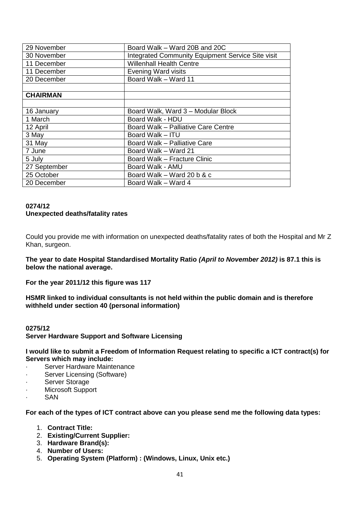| Board Walk – Ward 20B and 20C                     |
|---------------------------------------------------|
| Integrated Community Equipment Service Site visit |
| <b>Willenhall Health Centre</b>                   |
| <b>Evening Ward visits</b>                        |
| Board Walk - Ward 11                              |
|                                                   |
|                                                   |
|                                                   |
| Board Walk, Ward 3 - Modular Block                |
| Board Walk - HDU                                  |
| Board Walk - Palliative Care Centre               |
| Board Walk - ITU                                  |
| Board Walk - Palliative Care                      |
| Board Walk – Ward 21                              |
| Board Walk - Fracture Clinic                      |
| Board Walk - AMU                                  |
| Board Walk – Ward 20 b & c                        |
| Board Walk – Ward 4                               |
|                                                   |

#### **0274/12 Unexpected deaths/fatality rates**

Could you provide me with information on unexpected deaths/fatality rates of both the Hospital and Mr Z Khan, surgeon.

**The year to date Hospital Standardised Mortality Ratio** *(April to November 2012)* **is 87.1 this is below the national average.**

**For the year 2011/12 this figure was 117** 

**HSMR linked to individual consultants is not held within the public domain and is therefore withheld under section 40 (personal information)**

#### **0275/12**

**Server Hardware Support and Software Licensing**

**I would like to submit a Freedom of Information Request relating to specific a ICT contract(s) for Servers which may include:**

- Server Hardware Maintenance
- · Server Licensing (Software)
- Server Storage
- Microsoft Support
- SAN

**For each of the types of ICT contract above can you please send me the following data types:**

- 1. **Contract Title:**
- 2. **Existing/Current Supplier:**
- 3. **Hardware Brand(s):**
- 4. **Number of Users:**
- 5. **Operating System (Platform) : (Windows, Linux, Unix etc.)**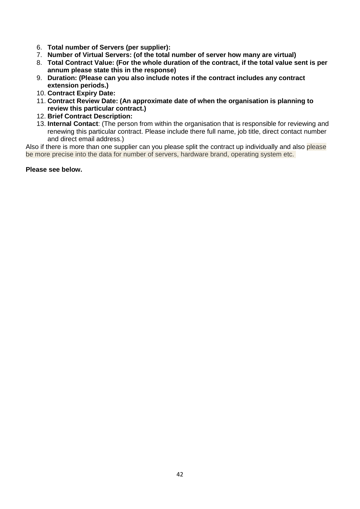- 6. **Total number of Servers (per supplier):**
- 7. **Number of Virtual Servers: (of the total number of server how many are virtual)**
- 8. **Total Contract Value: (For the whole duration of the contract, if the total value sent is per annum please state this in the response)**
- 9. **Duration: (Please can you also include notes if the contract includes any contract extension periods.)**
- 10. **Contract Expiry Date:**
- 11. **Contract Review Date: (An approximate date of when the organisation is planning to review this particular contract.)**
- 12. **Brief Contract Description:**
- 13. **Internal Contact**: (The person from within the organisation that is responsible for reviewing and renewing this particular contract. Please include there full name, job title, direct contact number and direct email address.)

Also if there is more than one supplier can you please split the contract up individually and also please be more precise into the data for number of servers, hardware brand, operating system etc.

#### **Please see below.**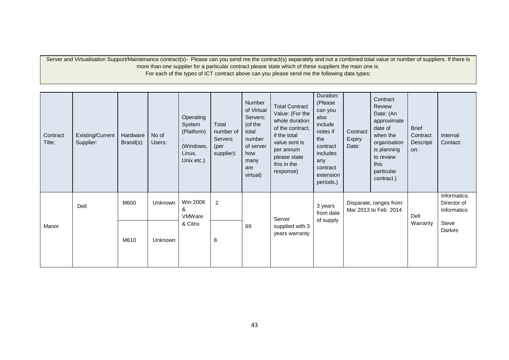Server and Virtualisation Support/Maintenance contract(s)- Please can you send me the contract(s) separately and not a combined total value or number of suppliers. If there is more than one supplier for a particular contract please state which of these suppliers the main one is. For each of the types of ICT contract above can you please send me the following data types:

| Contract<br>Title: | Existing/Current<br>Supplier: | Hardware<br>Brand(s): | No of<br>Users:         | Operating<br>System<br>(Platform)<br>(Windows,<br>Linux,<br>Unix etc.) | Total<br>number of<br>Servers<br>(per<br>supplier): | Number<br>of Virtual<br>Servers:<br>(of the<br>total<br>number<br>of server<br>how<br>many<br>are<br>virtual) | <b>Total Contract</b><br>Value: (For the<br>whole duration<br>of the contract.<br>if the total<br>value sent is<br>per annum<br>please state<br>this in the<br>response) | Duration:<br>(Please<br>can you<br>also<br>include<br>notes if<br>the<br>contract<br>includes<br>any<br>contract<br>extension<br>periods.) | Contract<br>Expiry<br>Date:                        | Contract<br>Review<br>Date: (An<br>approximate<br>date of<br>when the<br>organisation<br>is planning<br>to review<br>this<br>particular<br>contract.) | <b>Brief</b><br>Contract<br>Descripti<br>on: | Internal<br>Contact: |
|--------------------|-------------------------------|-----------------------|-------------------------|------------------------------------------------------------------------|-----------------------------------------------------|---------------------------------------------------------------------------------------------------------------|--------------------------------------------------------------------------------------------------------------------------------------------------------------------------|--------------------------------------------------------------------------------------------------------------------------------------------|----------------------------------------------------|-------------------------------------------------------------------------------------------------------------------------------------------------------|----------------------------------------------|----------------------|
|                    | M600<br>Dell                  | Unknown               | Win 2008<br>&<br>VMWare | $\boldsymbol{2}$                                                       | Server                                              | 3 years<br>from date<br>of supply                                                                             | Disparate, ranges from:<br>Mar 2013 to Feb 2014                                                                                                                          |                                                                                                                                            | Informatics,<br>Director of<br>Informatics<br>Dell |                                                                                                                                                       |                                              |                      |
| Manor              |                               | M610                  | Unknown                 | & Citrix                                                               | 8                                                   | 69                                                                                                            | supplied with 3<br>years warranty                                                                                                                                        |                                                                                                                                            |                                                    |                                                                                                                                                       | Warranty                                     | Steve<br>Darkes      |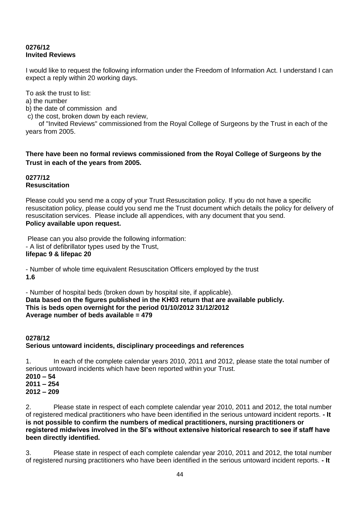# **0276/12 Invited Reviews**

I would like to request the following information under the Freedom of Information Act. I understand I can expect a reply within 20 working days.

To ask the trust to list:

a) the number

b) the date of commission and

c) the cost, broken down by each review,

 of "Invited Reviews" commissioned from the Royal College of Surgeons by the Trust in each of the years from 2005.

**There have been no formal reviews commissioned from the Royal College of Surgeons by the Trust in each of the years from 2005.**

#### **0277/12 Resuscitation**

Please could you send me a copy of your Trust Resuscitation policy. If you do not have a specific resuscitation policy, please could you send me the Trust document which details the policy for delivery of resuscitation services. Please include all appendices, with any document that you send. **Policy available upon request.**

Please can you also provide the following information: - A list of defibrillator types used by the Trust, **lifepac 9 & lifepac 20**

- Number of whole time equivalent Resuscitation Officers employed by the trust **1.6**

- Number of hospital beds (broken down by hospital site, if applicable). **Data based on the figures published in the KH03 return that are available publicly. This is beds open overnight for the period 01/10/2012 31/12/2012 Average number of beds available = 479**

# **0278/12 Serious untoward incidents, disciplinary proceedings and references**

1. In each of the complete calendar years 2010, 2011 and 2012, please state the total number of serious untoward incidents which have been reported within your Trust. **2010 – 54**

**2011 – 254** 

**2012 – 209** 

2. Please state in respect of each complete calendar year 2010, 2011 and 2012, the total number of registered medical practitioners who have been identified in the serious untoward incident reports. **- It is not possible to confirm the numbers of medical practitioners, nursing practitioners or registered midwives involved in the SI's without extensive historical research to see if staff have been directly identified.**

3. Please state in respect of each complete calendar year 2010, 2011 and 2012, the total number of registered nursing practitioners who have been identified in the serious untoward incident reports. **- It**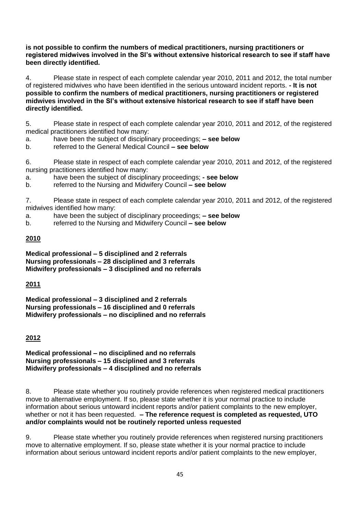**is not possible to confirm the numbers of medical practitioners, nursing practitioners or registered midwives involved in the SI's without extensive historical research to see if staff have been directly identified.**

4. Please state in respect of each complete calendar year 2010, 2011 and 2012, the total number of registered midwives who have been identified in the serious untoward incident reports. **- It is not possible to confirm the numbers of medical practitioners, nursing practitioners or registered midwives involved in the SI's without extensive historical research to see if staff have been directly identified.**

5. Please state in respect of each complete calendar year 2010, 2011 and 2012, of the registered medical practitioners identified how many:

a. have been the subject of disciplinary proceedings; **– see below**

b. referred to the General Medical Council **– see below**

6. Please state in respect of each complete calendar year 2010, 2011 and 2012, of the registered nursing practitioners identified how many:<br>a have been the subject of discipling

have been the subject of disciplinary proceedings; **- see below** 

b. referred to the Nursing and Midwifery Council **– see below**

7. Please state in respect of each complete calendar year 2010, 2011 and 2012, of the registered midwives identified how many:

a. have been the subject of disciplinary proceedings; **– see below**

b. referred to the Nursing and Midwifery Council **– see below**

# **2010**

**Medical professional – 5 disciplined and 2 referrals Nursing professionals – 28 disciplined and 3 referrals Midwifery professionals – 3 disciplined and no referrals**

# **2011**

**Medical professional – 3 disciplined and 2 referrals Nursing professionals – 16 disciplined and 0 referrals Midwifery professionals – no disciplined and no referrals**

# **2012**

**Medical professional – no disciplined and no referrals Nursing professionals – 15 disciplined and 3 referrals Midwifery professionals – 4 disciplined and no referrals**

8. Please state whether you routinely provide references when registered medical practitioners move to alternative employment. If so, please state whether it is your normal practice to include information about serious untoward incident reports and/or patient complaints to the new employer, whether or not it has been requested. **– The reference request is completed as requested, UTO and/or complaints would not be routinely reported unless requested**

9. Please state whether you routinely provide references when registered nursing practitioners move to alternative employment. If so, please state whether it is your normal practice to include information about serious untoward incident reports and/or patient complaints to the new employer,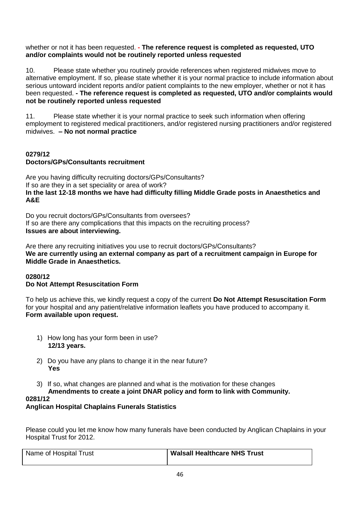whether or not it has been requested. **- The reference request is completed as requested, UTO and/or complaints would not be routinely reported unless requested**

10. Please state whether you routinely provide references when registered midwives move to alternative employment. If so, please state whether it is your normal practice to include information about serious untoward incident reports and/or patient complaints to the new employer, whether or not it has been requested. **- The reference request is completed as requested, UTO and/or complaints would not be routinely reported unless requested**

11. Please state whether it is your normal practice to seek such information when offering employment to registered medical practitioners, and/or registered nursing practitioners and/or registered midwives. **– No not normal practice**

# **0279/12 Doctors/GPs/Consultants recruitment**

Are you having difficulty recruiting doctors/GPs/Consultants? If so are they in a set speciality or area of work? **In the last 12-18 months we have had difficulty filling Middle Grade posts in Anaesthetics and A&E** 

Do you recruit doctors/GPs/Consultants from oversees? If so are there any complications that this impacts on the recruiting process? **Issues are about interviewing.** 

Are there any recruiting initiatives you use to recruit doctors/GPs/Consultants? **We are currently using an external company as part of a recruitment campaign in Europe for Middle Grade in Anaesthetics.** 

#### **0280/12 Do Not Attempt Resuscitation Form**

To help us achieve this, we kindly request a copy of the current **Do Not Attempt Resuscitation Form** for your hospital and any patient/relative information leaflets you have produced to accompany it. **Form available upon request.**

- 1) How long has your form been in use? **12/13 years.**
- 2) Do you have any plans to change it in the near future? **Yes**
- 3) If so, what changes are planned and what is the motivation for these changes

# **Amendments to create a joint DNAR policy and form to link with Community.**

# **0281/12**

# **Anglican Hospital Chaplains Funerals Statistics**

Please could you let me know how many funerals have been conducted by Anglican Chaplains in your Hospital Trust for 2012.

| Name of Hospital Trust | <b>Walsall Healthcare NHS Trust</b> |  |
|------------------------|-------------------------------------|--|
|                        |                                     |  |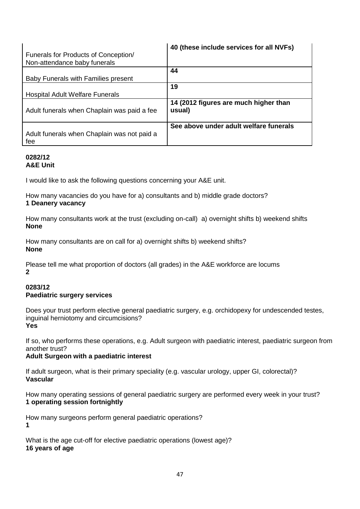| Funerals for Products of Conception/<br>Non-attendance baby funerals | 40 (these include services for all NVFs)        |
|----------------------------------------------------------------------|-------------------------------------------------|
| Baby Funerals with Families present                                  | 44                                              |
| <b>Hospital Adult Welfare Funerals</b>                               | 19                                              |
| Adult funerals when Chaplain was paid a fee                          | 14 (2012 figures are much higher than<br>usual) |
| Adult funerals when Chaplain was not paid a<br>fee                   | See above under adult welfare funerals          |

#### **0282/12 A&E Unit**

I would like to ask the following questions concerning your A&E unit.

How many vacancies do you have for a) consultants and b) middle grade doctors? **1 Deanery vacancy** 

How many consultants work at the trust (excluding on-call) a) overnight shifts b) weekend shifts **None**

How many consultants are on call for a) overnight shifts b) weekend shifts? **None** 

Please tell me what proportion of doctors (all grades) in the A&E workforce are locums **2**

#### **0283/12 Paediatric surgery services**

Does your trust perform elective general paediatric surgery, e.g. orchidopexy for undescended testes, inguinal herniotomy and circumcisions? **Yes**

If so, who performs these operations, e.g. Adult surgeon with paediatric interest, paediatric surgeon from another trust?

#### **Adult Surgeon with a paediatric interest**

If adult surgeon, what is their primary speciality (e.g. vascular urology, upper GI, colorectal)? **Vascular**

How many operating sessions of general paediatric surgery are performed every week in your trust? **1 operating session fortnightly**

How many surgeons perform general paediatric operations? **1**

What is the age cut-off for elective paediatric operations (lowest age)? **16 years of age**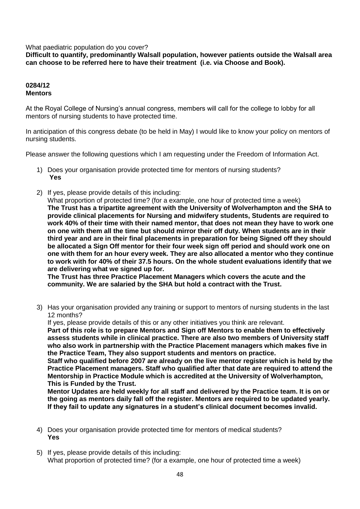What paediatric population do you cover?

**Difficult to quantify, predominantly Walsall population, however patients outside the Walsall area can choose to be referred here to have their treatment (i.e. via Choose and Book).**

#### **0284/12 Mentors**

At the Royal College of Nursing's annual congress, members will call for the college to lobby for all mentors of nursing students to have protected time.

In anticipation of this congress debate (to be held in May) I would like to know your policy on mentors of nursing students.

Please answer the following questions which I am requesting under the Freedom of Information Act.

- 1) Does your organisation provide protected time for mentors of nursing students? **Yes**
- 2) If yes, please provide details of this including:

What proportion of protected time? (for a example, one hour of protected time a week) **The Trust has a tripartite agreement with the University of Wolverhampton and the SHA to provide clinical placements for Nursing and midwifery students, Students are required to work 40% of their time with their named mentor, that does not mean they have to work one on one with them all the time but should mirror their off duty. When students are in their third year and are in their final placements in preparation for being Signed off they should be allocated a Sign Off mentor for their four week sign off period and should work one on one with them for an hour every week. They are also allocated a mentor who they continue to work with for 40% of their 37.5 hours. On the whole student evaluations identify that we are delivering what we signed up for.**

**The Trust has three Practice Placement Managers which covers the acute and the community. We are salaried by the SHA but hold a contract with the Trust.**

3) Has your organisation provided any training or support to mentors of nursing students in the last 12 months?

If yes, please provide details of this or any other initiatives you think are relevant. **Part of this role is to prepare Mentors and Sign off Mentors to enable them to effectively assess students while in clinical practice. There are also two members of University staff who also work in partnership with the Practice Placement managers which makes five in the Practice Team, They also support students and mentors on practice.**

**Staff who qualified before 2007 are already on the live mentor register which is held by the Practice Placement managers. Staff who qualified after that date are required to attend the Mentorship in Practice Module which is accredited at the University of Wolverhampton, This is Funded by the Trust.**

**Mentor Updates are held weekly for all staff and delivered by the Practice team. It is on or the going as mentors daily fall off the register. Mentors are required to be updated yearly. If they fail to update any signatures in a student's clinical document becomes invalid.** 

- 4) Does your organisation provide protected time for mentors of medical students? **Yes**
- 5) If yes, please provide details of this including: What proportion of protected time? (for a example, one hour of protected time a week)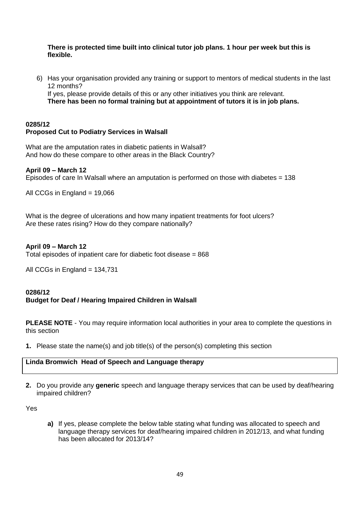**There is protected time built into clinical tutor job plans. 1 hour per week but this is flexible.** 

6) Has your organisation provided any training or support to mentors of medical students in the last 12 months?

If yes, please provide details of this or any other initiatives you think are relevant.

**There has been no formal training but at appointment of tutors it is in job plans.**

#### **0285/12 Proposed Cut to Podiatry Services in Walsall**

What are the amputation rates in diabetic patients in Walsall? And how do these compare to other areas in the Black Country?

# **April 09 – March 12**

Episodes of care In Walsall where an amputation is performed on those with diabetes = 138

All CCGs in England = 19,066

What is the degree of ulcerations and how many inpatient treatments for foot ulcers? Are these rates rising? How do they compare nationally?

#### **April 09 – March 12**

Total episodes of inpatient care for diabetic foot disease = 868

All CCGs in England =  $134,731$ 

# **0286/12 Budget for Deaf / Hearing Impaired Children in Walsall**

**PLEASE NOTE** - You may require information local authorities in your area to complete the questions in this section

**1.** Please state the name(s) and job title(s) of the person(s) completing this section

# **Linda Bromwich Head of Speech and Language therapy**

**2.** Do you provide any **generic** speech and language therapy services that can be used by deaf/hearing impaired children?

Yes

**a)** If yes, please complete the below table stating what funding was allocated to speech and language therapy services for deaf/hearing impaired children in 2012/13, and what funding has been allocated for 2013/14?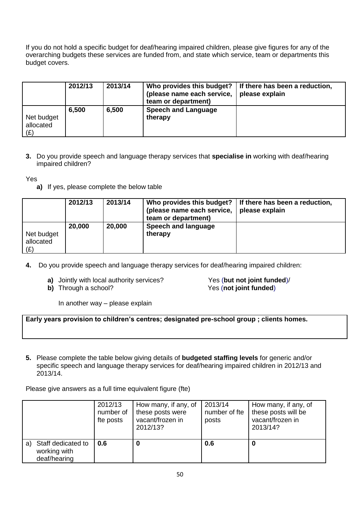If you do not hold a specific budget for deaf/hearing impaired children, please give figures for any of the overarching budgets these services are funded from, and state which service, team or departments this budget covers.

|                                | 2012/13 | 2013/14 | Who provides this budget?<br>(please name each service,<br>team or department) | If there has been a reduction,<br>please explain |
|--------------------------------|---------|---------|--------------------------------------------------------------------------------|--------------------------------------------------|
| Net budget<br>allocated<br>(E) | 6.500   | 6,500   | <b>Speech and Language</b><br>therapy                                          |                                                  |

**3.** Do you provide speech and language therapy services that **specialise in** working with deaf/hearing impaired children?

Yes

**a)** If yes, please complete the below table

|                                | 2012/13 | 2013/14 | (please name each service,<br>team or department) | Who provides this budget? If there has been a reduction,<br>please explain |
|--------------------------------|---------|---------|---------------------------------------------------|----------------------------------------------------------------------------|
| Net budget<br>allocated<br>(E) | 20,000  | 20,000  | Speech and language<br>therapy                    |                                                                            |

- **4.** Do you provide speech and language therapy services for deaf/hearing impaired children:
	-
	-

**a)** Jointly with local authority services?<br> **b)** Through a school? <br>
Yes (not joint funded) Yes (not joint funded)

In another way – please explain

**Early years provision to children's centres; designated pre-school group ; clients homes.**

**5.** Please complete the table below giving details of **budgeted staffing levels** for generic and/or specific speech and language therapy services for deaf/hearing impaired children in 2012/13 and 2013/14.

Please give answers as a full time equivalent figure (fte)

|    |                                                    | 2012/13<br>number of<br>fte posts | How many, if any, of<br>these posts were<br>vacant/frozen in<br>2012/13? | 2013/14<br>number of fte<br>posts | How many, if any, of<br>these posts will be<br>vacant/frozen in<br>2013/14? |
|----|----------------------------------------------------|-----------------------------------|--------------------------------------------------------------------------|-----------------------------------|-----------------------------------------------------------------------------|
| a) | Staff dedicated to<br>working with<br>deaf/hearing | $\vert 0.6 \vert$                 | 0                                                                        | 0.6                               | O                                                                           |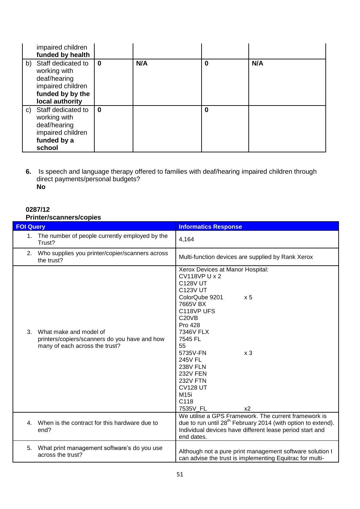| impaired children<br>funded by health                                                                             |          |     |   |     |
|-------------------------------------------------------------------------------------------------------------------|----------|-----|---|-----|
| b) Staff dedicated to<br>working with<br>deaf/hearing<br>impaired children<br>funded by by the<br>local authority | 0        | N/A | 0 | N/A |
| c) Staff dedicated to<br>working with<br>deaf/hearing<br>impaired children<br>funded by a<br>school               | $\bf{0}$ |     | 0 |     |

**6.** Is speech and language therapy offered to families with deaf/hearing impaired children through direct payments/personal budgets? **No**

# **0287/12 Printer/scanners/copies**

|                  | <i></i>                                                                                                   |                                                                                                                                                                                                                                                                                                                                                                                                                          |
|------------------|-----------------------------------------------------------------------------------------------------------|--------------------------------------------------------------------------------------------------------------------------------------------------------------------------------------------------------------------------------------------------------------------------------------------------------------------------------------------------------------------------------------------------------------------------|
| <b>FOI Query</b> |                                                                                                           | <b>Informatics Response</b>                                                                                                                                                                                                                                                                                                                                                                                              |
|                  | 1. The number of people currently employed by the<br>Trust?                                               | 4,164                                                                                                                                                                                                                                                                                                                                                                                                                    |
| 2.               | Who supplies you printer/copier/scanners across<br>the trust?                                             | Multi-function devices are supplied by Rank Xerox                                                                                                                                                                                                                                                                                                                                                                        |
| 3.               | What make and model of<br>printers/copiers/scanners do you have and how<br>many of each across the trust? | Xerox Devices at Manor Hospital:<br><b>CV118VP U x 2</b><br><b>C128V UT</b><br><b>C123V UT</b><br>ColorQube 9201<br>x <sub>5</sub><br>7665V BX<br>C118VP UFS<br>C <sub>20</sub> V <sub>B</sub><br><b>Pro 428</b><br>7346V FLX<br>7545 FL<br>55<br>5735V-FN<br>x <sub>3</sub><br><b>245V FL</b><br><b>238V FLN</b><br><b>232V FEN</b><br><b>232V FTN</b><br><b>CV128 UT</b><br>M15i<br>C118<br>7535V FL<br>x <sub>2</sub> |
|                  | 4. When is the contract for this hardware due to<br>end?                                                  | We utilise a GPS Framework. The current framework is<br>due to run until 28 <sup>th</sup> February 2014 (with option to extend).<br>Individual devices have different lease period start and<br>end dates.                                                                                                                                                                                                               |
| 5.               | What print management software's do you use<br>across the trust?                                          | Although not a pure print management software solution I<br>can advise the trust is implementing Equitrac for multi-                                                                                                                                                                                                                                                                                                     |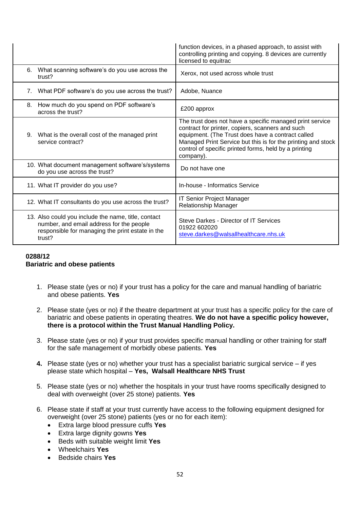|             |                                                                                                                                                               | function devices, in a phased approach, to assist with<br>controlling printing and copying. 8 devices are currently<br>licensed to equitrac                                                                                                                                                             |
|-------------|---------------------------------------------------------------------------------------------------------------------------------------------------------------|---------------------------------------------------------------------------------------------------------------------------------------------------------------------------------------------------------------------------------------------------------------------------------------------------------|
| 6.          | What scanning software's do you use across the<br>trust?                                                                                                      | Xerox, not used across whole trust                                                                                                                                                                                                                                                                      |
| $7_{\cdot}$ | What PDF software's do you use across the trust?                                                                                                              | Adobe, Nuance                                                                                                                                                                                                                                                                                           |
| 8.          | How much do you spend on PDF software's<br>across the trust?                                                                                                  | £200 approx                                                                                                                                                                                                                                                                                             |
| 9.          | What is the overall cost of the managed print<br>service contract?                                                                                            | The trust does not have a specific managed print service<br>contract for printer, copiers, scanners and such<br>equipment. (The Trust does have a contract called<br>Managed Print Service but this is for the printing and stock<br>control of specific printed forms, held by a printing<br>company). |
|             | 10. What document management software's/systems<br>do you use across the trust?                                                                               | Do not have one                                                                                                                                                                                                                                                                                         |
|             | 11. What IT provider do you use?                                                                                                                              | In-house - Informatics Service                                                                                                                                                                                                                                                                          |
|             | 12. What IT consultants do you use across the trust?                                                                                                          | <b>IT Senior Project Manager</b><br>Relationship Manager                                                                                                                                                                                                                                                |
|             | 13. Also could you include the name, title, contact<br>number, and email address for the people<br>responsible for managing the print estate in the<br>trust? | Steve Darkes - Director of IT Services<br>01922 602020<br>steve.darkes@walsallhealthcare.nhs.uk                                                                                                                                                                                                         |

# **0288/12 Bariatric and obese patients**

- 1. Please state (yes or no) if your trust has a policy for the care and manual handling of bariatric and obese patients. **Yes**
- 2. Please state (yes or no) if the theatre department at your trust has a specific policy for the care of bariatric and obese patients in operating theatres. **We do not have a specific policy however, there is a protocol within the Trust Manual Handling Policy.**
- 3. Please state (yes or no) if your trust provides specific manual handling or other training for staff for the safe management of morbidly obese patients. **Yes**
- **4.** Please state (yes or no) whether your trust has a specialist bariatric surgical service if yes please state which hospital – **Yes, Walsall Healthcare NHS Trust**
- 5. Please state (yes or no) whether the hospitals in your trust have rooms specifically designed to deal with overweight (over 25 stone) patients. **Yes**
- 6. Please state if staff at your trust currently have access to the following equipment designed for overweight (over 25 stone) patients (yes or no for each item):
	- Extra large blood pressure cuffs **Yes**
	- Extra large dignity gowns **Yes**
	- Beds with suitable weight limit **Yes**
	- Wheelchairs **Yes**
	- Bedside chairs **Yes**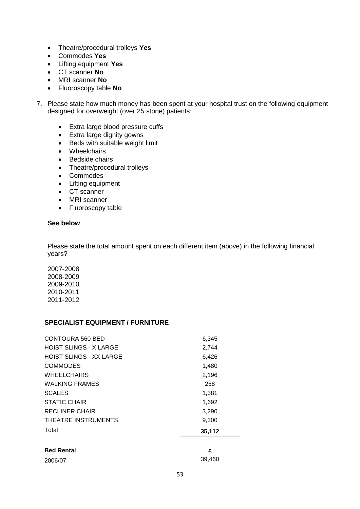- Theatre/procedural trolleys **Yes**
- Commodes **Yes**
- Lifting equipment **Yes**
- CT scanner **No**
- MRI scanner **No**
- Fluoroscopy table **No**
- 7. Please state how much money has been spent at your hospital trust on the following equipment designed for overweight (over 25 stone) patients:
	- Extra large blood pressure cuffs
	- Extra large dignity gowns
	- Beds with suitable weight limit
	- Wheelchairs
	- Bedside chairs
	- Theatre/procedural trolleys
	- Commodes
	- Lifting equipment
	- CT scanner
	- MRI scanner
	- Fluoroscopy table

#### **See below**

Please state the total amount spent on each different item (above) in the following financial years?

2007-2008 2008-2009 2009-2010 2010-2011 2011-2012

#### **SPECIALIST EQUIPMENT / FURNITURE**

| <b>CONTOURA 560 BED</b>        | 6,345  |
|--------------------------------|--------|
| <b>HOIST SLINGS - X LARGE</b>  | 2,744  |
| <b>HOIST SLINGS - XX LARGE</b> | 6,426  |
| <b>COMMODES</b>                | 1,480  |
| <b>WHEELCHAIRS</b>             | 2,196  |
| <b>WALKING FRAMES</b>          | 258    |
| <b>SCALES</b>                  | 1,381  |
| <b>STATIC CHAIR</b>            | 1,692  |
| RECLINER CHAIR                 | 3,290  |
| THEATRE INSTRUMENTS            | 9,300  |
| Total                          | 35,112 |
|                                |        |
| <b>Bed Rental</b>              | £      |
| 2006/07                        | 39.460 |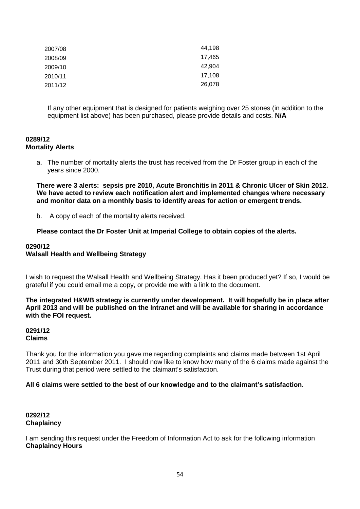| 44,198 |
|--------|
| 17,465 |
| 42,904 |
| 17,108 |
| 26,078 |
|        |

If any other equipment that is designed for patients weighing over 25 stones (in addition to the equipment list above) has been purchased, please provide details and costs. **N/A**

#### **0289/12 Mortality Alerts**

a. The number of mortality alerts the trust has received from the Dr Foster group in each of the years since 2000.

**There were 3 alerts: sepsis pre 2010, Acute Bronchitis in 2011 & Chronic Ulcer of Skin 2012. We have acted to review each notification alert and implemented changes where necessary and monitor data on a monthly basis to identify areas for action or emergent trends.**

b. A copy of each of the mortality alerts received.

**Please contact the Dr Foster Unit at Imperial College to obtain copies of the alerts.**

#### **0290/12 Walsall Health and Wellbeing Strategy**

I wish to request the Walsall Health and Wellbeing Strategy. Has it been produced yet? If so, I would be grateful if you could email me a copy, or provide me with a link to the document.

**The integrated H&WB strategy is currently under development. It will hopefully be in place after April 2013 and will be published on the Intranet and will be available for sharing in accordance with the FOI request.**

#### **0291/12 Claims**

Thank you for the information you gave me regarding complaints and claims made between 1st April 2011 and 30th September 2011. I should now like to know how many of the 6 claims made against the Trust during that period were settled to the claimant's satisfaction.

#### **All 6 claims were settled to the best of our knowledge and to the claimant's satisfaction.**

# **0292/12 Chaplaincy**

I am sending this request under the Freedom of Information Act to ask for the following information **Chaplaincy Hours**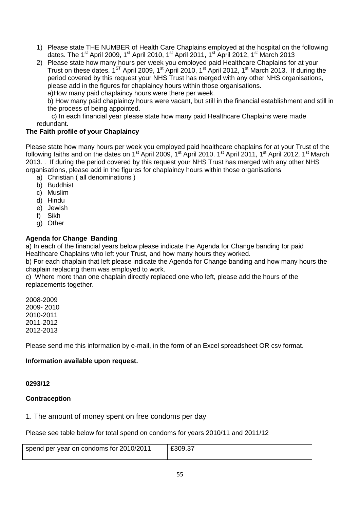- 1) Please state THE NUMBER of Health Care Chaplains employed at the hospital on the following dates. The 1<sup>st</sup> April 2009, 1<sup>st</sup> April 2010, 1<sup>st</sup> April 2011, 1<sup>st</sup> April 2012, 1<sup>st</sup> March 2013
- 2) Please state how many hours per week you employed paid Healthcare Chaplains for at your Trust on these dates.  $1^{ST}$  April 2009,  $1^{st}$  April 2010,  $1^{st}$  April 2012,  $1^{st}$  March 2013. If during the period covered by this request your NHS Trust has merged with any other NHS organisations, please add in the figures for chaplaincy hours within those organisations.

a)How many paid chaplaincy hours were there per week.

b) How many paid chaplaincy hours were vacant, but still in the financial establishment and still in the process of being appointed.

 c) In each financial year please state how many paid Healthcare Chaplains were made redundant.

# **The Faith profile of your Chaplaincy**

Please state how many hours per week you employed paid healthcare chaplains for at your Trust of the following faiths and on the dates on 1<sup>st</sup> April 2009, 1<sup>st</sup> April 2010. 1<sup>st</sup> April 2011, 1<sup>st</sup> April 2012, 1<sup>st</sup> March 2013. . If during the period covered by this request your NHS Trust has merged with any other NHS organisations, please add in the figures for chaplaincy hours within those organisations

- a) Christian ( all denominations )
- b) Buddhist
- c) Muslim
- d) Hindu
- e) Jewish
- f) Sikh
- g) Other

# **Agenda for Change Banding**

a) In each of the financial years below please indicate the Agenda for Change banding for paid Healthcare Chaplains who left your Trust, and how many hours they worked.

b) For each chaplain that left please indicate the Agenda for Change banding and how many hours the chaplain replacing them was employed to work.

c) Where more than one chaplain directly replaced one who left, please add the hours of the replacements together.

2008-2009 2009- 2010 2010-2011 2011-2012 2012-2013

Please send me this information by e-mail, in the form of an Excel spreadsheet OR csv format.

# **Information available upon request.**

#### **0293/12**

#### **Contraception**

#### 1. The amount of money spent on free condoms per day

Please see table below for total spend on condoms for years 2010/11 and 2011/12

| spend per year on condoms for 2010/2011 | £309.37 |
|-----------------------------------------|---------|
|                                         |         |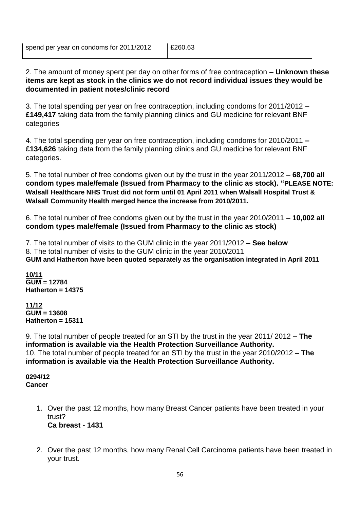2. The amount of money spent per day on other forms of free contraception **– Unknown these items are kept as stock in the clinics we do not record individual issues they would be documented in patient notes/clinic record**

3. The total spending per year on free contraception, including condoms for 2011/2012 **– £149,417** taking data from the family planning clinics and GU medicine for relevant BNF categories

4. The total spending per year on free contraception, including condoms for 2010/2011 **– £134,626** taking data from the family planning clinics and GU medicine for relevant BNF categories.

5. The total number of free condoms given out by the trust in the year 2011/2012 **– 68,700 all condom types male/female (Issued from Pharmacy to the clinic as stock). "PLEASE NOTE: Walsall Healthcare NHS Trust did not form until 01 April 2011 when Walsall Hospital Trust & Walsall Community Health merged hence the increase from 2010/2011.**

6. The total number of free condoms given out by the trust in the year 2010/2011 **– 10,002 all condom types male/female (Issued from Pharmacy to the clinic as stock)**

7. The total number of visits to the GUM clinic in the year 2011/2012 **– See below** 8. The total number of visits to the GUM clinic in the year 2010/2011 **GUM and Hatherton have been quoted separately as the organisation integrated in April 2011** 

**10/11 GUM = 12784 Hatherton = 14375**

**11/12 GUM = 13608 Hatherton = 15311**

9. The total number of people treated for an STI by the trust in the year 2011/ 2012 **– The information is available via the Health Protection Surveillance Authority.** 10. The total number of people treated for an STI by the trust in the year 2010/2012 **– The information is available via the Health Protection Surveillance Authority.**

**0294/12 Cancer**

- 1. Over the past 12 months, how many Breast Cancer patients have been treated in your trust? **Ca breast - 1431**
- 2. Over the past 12 months, how many Renal Cell Carcinoma patients have been treated in your trust.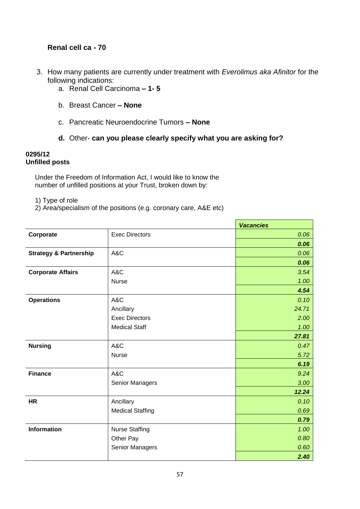# **Renal cell ca - 70**

- 3. How many patients are currently under treatment with *Everolimus aka Afinitor* for the following indications:
	- a. Renal Cell Carcinoma **– 1- 5**
	- b. Breast Cancer **– None**
	- c. Pancreatic Neuroendocrine Tumors **– None**
	- **d.** Other- **can you please clearly specify what you are asking for?**

#### **0295/12 Unfilled posts**

 Under the Freedom of Information Act, I would like to know the number of unfilled positions at your Trust, broken down by:

- 1) Type of role
- 2) Area/specialism of the positions (e.g. coronary care, A&E etc)

|                                   |                         | <b>Vacancies</b> |
|-----------------------------------|-------------------------|------------------|
| Corporate                         | <b>Exec Directors</b>   | 0.06             |
|                                   |                         | 0.06             |
| <b>Strategy &amp; Partnership</b> | A&C                     | 0.06             |
|                                   |                         | 0.06             |
| <b>Corporate Affairs</b>          | A&C                     | 3.54             |
|                                   | <b>Nurse</b>            | 1.00             |
|                                   |                         | 4.54             |
| <b>Operations</b>                 | A&C                     | 0.10             |
|                                   | Ancillary               | 24.71            |
|                                   | <b>Exec Directors</b>   | 2.00             |
|                                   | <b>Medical Staff</b>    | 1.00             |
|                                   |                         | 27.81            |
| <b>Nursing</b>                    | A&C                     | 0.47             |
|                                   | <b>Nurse</b>            | 5.72             |
|                                   |                         | 6.19             |
| <b>Finance</b>                    | A&C                     | 9.24             |
|                                   | Senior Managers         | 3.00             |
|                                   |                         | 12.24            |
| <b>HR</b>                         | Ancillary               | 0.10             |
|                                   | <b>Medical Staffing</b> | 0.69             |
|                                   |                         | 0.79             |
| <b>Information</b>                | <b>Nurse Staffing</b>   | 1.00             |
|                                   | Other Pay               | 0.80             |
|                                   | Senior Managers         | 0.60             |
|                                   |                         | 2.40             |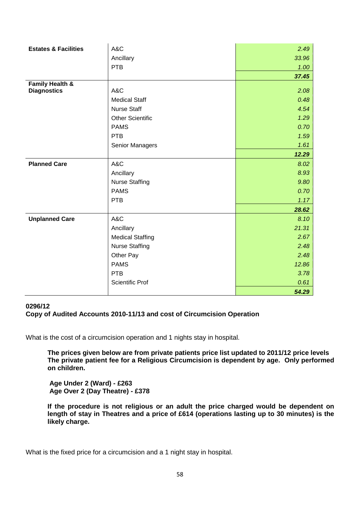| <b>Estates &amp; Facilities</b> | A&C                     | 2.49  |
|---------------------------------|-------------------------|-------|
|                                 | Ancillary               | 33.96 |
|                                 | <b>PTB</b>              | 1.00  |
|                                 |                         | 37.45 |
| <b>Family Health &amp;</b>      |                         |       |
| <b>Diagnostics</b>              | A&C                     | 2.08  |
|                                 | <b>Medical Staff</b>    | 0.48  |
|                                 | <b>Nurse Staff</b>      | 4.54  |
|                                 | <b>Other Scientific</b> | 1.29  |
|                                 | <b>PAMS</b>             | 0.70  |
|                                 | <b>PTB</b>              | 1.59  |
|                                 | Senior Managers         | 1.61  |
|                                 |                         | 12.29 |
| <b>Planned Care</b>             | A&C                     | 8.02  |
|                                 | Ancillary               | 8.93  |
|                                 | <b>Nurse Staffing</b>   | 9.80  |
|                                 | <b>PAMS</b>             | 0.70  |
|                                 | <b>PTB</b>              | 1.17  |
|                                 |                         | 28.62 |
| <b>Unplanned Care</b>           | A&C                     | 8.10  |
|                                 | Ancillary               | 21.31 |
|                                 | <b>Medical Staffing</b> | 2.67  |
|                                 | <b>Nurse Staffing</b>   | 2.48  |
|                                 | Other Pay               | 2.48  |
|                                 | <b>PAMS</b>             | 12.86 |
|                                 | PTB                     | 3.78  |
|                                 | <b>Scientific Prof</b>  | 0.61  |
|                                 |                         | 54.29 |

# **0296/12 Copy of Audited Accounts 2010-11/13 and cost of Circumcision Operation**

What is the cost of a circumcision operation and 1 nights stay in hospital.

**The prices given below are from private patients price list updated to 2011/12 price levels The private patient fee for a Religious Circumcision is dependent by age. Only performed on children.**

**Age Under 2 (Ward) - £263 Age Over 2 (Day Theatre) - £378**

**If the procedure is not religious or an adult the price charged would be dependent on length of stay in Theatres and a price of £614 (operations lasting up to 30 minutes) is the likely charge.**

What is the fixed price for a circumcision and a 1 night stay in hospital.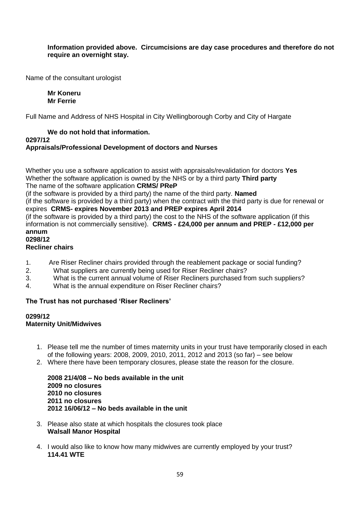# **Information provided above. Circumcisions are day case procedures and therefore do not require an overnight stay.**

Name of the consultant urologist

#### **Mr Koneru Mr Ferrie**

Full Name and Address of NHS Hospital in City Wellingborough Corby and City of Hargate

#### **We do not hold that information. 0297/12 Appraisals/Professional Development of doctors and Nurses**

Whether you use a software application to assist with appraisals/revalidation for doctors **Yes** Whether the software application is owned by the NHS or by a third party **Third party** The name of the software application **CRMS/ PReP**

(if the software is provided by a third party) the name of the third party. **Named**

(if the software is provided by a third party) when the contract with the third party is due for renewal or expires **CRMS- expires November 2013 and PREP expires April 2014**

(if the software is provided by a third party) the cost to the NHS of the software application (if this information is not commercially sensitive). **CRMS - £24,000 per annum and PREP - £12,000 per annum**

# **0298/12**

# **Recliner chairs**

- 1. Are Riser Recliner chairs provided through the reablement package or social funding?
- 2. What suppliers are currently being used for Riser Recliner chairs?
- 3. What is the current annual volume of Riser Recliners purchased from such suppliers?
- 4. What is the annual expenditure on Riser Recliner chairs?

# **The Trust has not purchased 'Riser Recliners'**

#### **0299/12 Maternity Unit/Midwives**

- 1. Please tell me the number of times maternity units in your trust have temporarily closed in each of the following years: 2008, 2009, 2010, 2011, 2012 and 2013 (so far) – see below
- 2. Where there have been temporary closures, please state the reason for the closure.

**2008 21/4/08 – No beds available in the unit 2009 no closures 2010 no closures 2011 no closures 2012 16/06/12 – No beds available in the unit**

- 3. Please also state at which hospitals the closures took place **Walsall Manor Hospital**
- 4. I would also like to know how many midwives are currently employed by your trust? **114.41 WTE**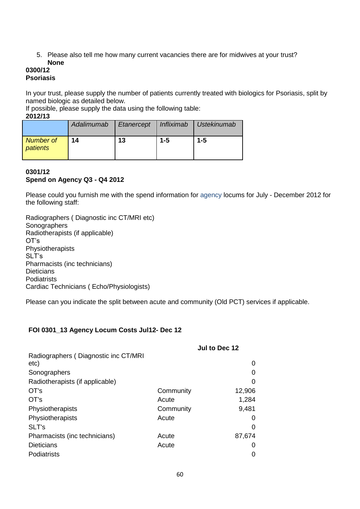5. Please also tell me how many current vacancies there are for midwives at your trust? **None**

# **0300/12 Psoriasis**

In your trust, please supply the number of patients currently treated with biologics for Psoriasis, split by named biologic as detailed below.

If possible, please supply the data using the following table:

**2012/13**

|                       | Adalimumab | Etanercept   Infliximab |         | <b>Ustekinumab</b> |
|-----------------------|------------|-------------------------|---------|--------------------|
| Number of<br>patients | 14         | 13                      | $1 - 5$ | $1 - 5$            |

# **0301/12 Spend on Agency Q3 - Q4 2012**

Please could you furnish me with the spend information for agency locums for July - December 2012 for the following staff:

Radiographers ( Diagnostic inc CT/MRI etc) **Sonographers** Radiotherapists (if applicable) OT"s **Physiotherapists** SLT"s Pharmacists (inc technicians) **Dieticians Podiatrists** Cardiac Technicians ( Echo/Physiologists)

Please can you indicate the split between acute and community (Old PCT) services if applicable.

# **FOI 0301\_13 Agency Locum Costs Jul12- Dec 12**

|                                      |           | Jul to Dec 12 |
|--------------------------------------|-----------|---------------|
| Radiographers (Diagnostic inc CT/MRI |           |               |
| etc)                                 |           | 0             |
| Sonographers                         |           | 0             |
| Radiotherapists (if applicable)      |           | 0             |
| OT's                                 | Community | 12,906        |
| OT's                                 | Acute     | 1,284         |
| Physiotherapists                     | Community | 9,481         |
| Physiotherapists                     | Acute     | 0             |
| SLT's                                |           | 0             |
| Pharmacists (inc technicians)        | Acute     | 87,674        |
| <b>Dieticians</b>                    | Acute     | 0             |
| Podiatrists                          |           | 0             |
|                                      |           |               |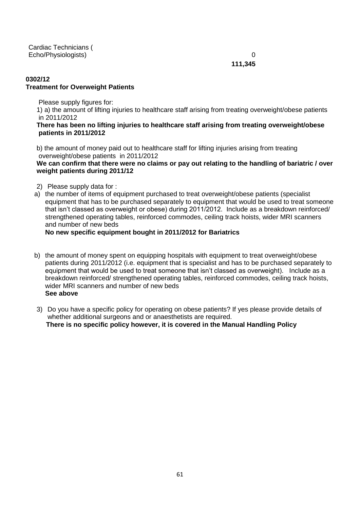Cardiac Technicians ( Echo/Physiologists) 0

**111,345**

# **0302/12 Treatment for Overweight Patients**

Please supply figures for:

1) a) the amount of lifting injuries to healthcare staff arising from treating overweight/obese patients in 2011/2012

#### **There has been no lifting injuries to healthcare staff arising from treating overweight/obese patients in 2011/2012**

b) the amount of money paid out to healthcare staff for lifting injuries arising from treating overweight/obese patients in 2011/2012

#### **We can confirm that there were no claims or pay out relating to the handling of bariatric / over weight patients during 2011/12**

- 2) Please supply data for :
- a) the number of items of equipment purchased to treat overweight/obese patients (specialist equipment that has to be purchased separately to equipment that would be used to treat someone that isn"t classed as overweight or obese) during 2011/2012. Include as a breakdown reinforced/ strengthened operating tables, reinforced commodes, ceiling track hoists, wider MRI scanners and number of new beds

# **No new specific equipment bought in 2011/2012 for Bariatrics**

- b) the amount of money spent on equipping hospitals with equipment to treat overweight/obese patients during 2011/2012 (i.e. equipment that is specialist and has to be purchased separately to equipment that would be used to treat someone that isn"t classed as overweight). Include as a breakdown reinforced/ strengthened operating tables, reinforced commodes, ceiling track hoists, wider MRI scanners and number of new beds **See above**
- 3) Do you have a specific policy for operating on obese patients? If yes please provide details of whether additional surgeons and or anaesthetists are required.  **There is no specific policy however, it is covered in the Manual Handling Policy**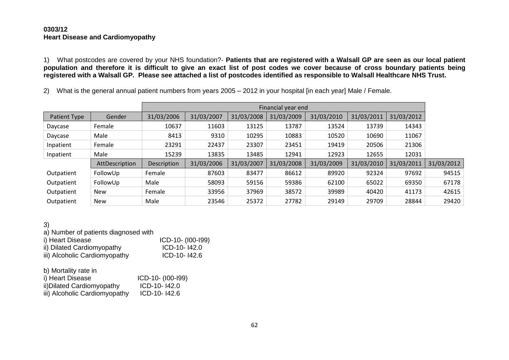#### **0303/12 Heart Disease and Cardiomyopathy**

1) What postcodes are covered by your NHS foundation?- **Patients that are registered with a Walsall GP are seen as our local patient population and therefore it is difficult to give an exact list of post codes we cover because of cross boundary patients being registered with a Walsall GP. Please see attached a list of postcodes identified as responsible to Walsall Healthcare NHS Trust.**

2) What is the general annual patient numbers from years 2005 – 2012 in your hospital [in each year] Male / Female.

|              |                | Financial year end |            |            |            |            |            |            |            |
|--------------|----------------|--------------------|------------|------------|------------|------------|------------|------------|------------|
| Patient Type | Gender         | 31/03/2006         | 31/03/2007 | 31/03/2008 | 31/03/2009 | 31/03/2010 | 31/03/2011 | 31/03/2012 |            |
| Daycase      | Female         | 10637              | 11603      | 13125      | 13787      | 13524      | 13739      | 14343      |            |
| Daycase      | Male           | 8413               | 9310       | 10295      | 10883      | 10520      | 10690      | 11067      |            |
| Inpatient    | Female         | 23291              | 22437      | 23307      | 23451      | 19419      | 20506      | 21306      |            |
| Inpatient    | Male           | 15239              | 13835      | 13485      | 12941      | 12923      | 12655      | 12031      |            |
|              | AttDescription | Description        | 31/03/2006 | 31/03/2007 | 31/03/2008 | 31/03/2009 | 31/03/2010 | 31/03/2011 | 31/03/2012 |
| Outpatient   | FollowUp       | Female             | 87603      | 83477      | 86612      | 89920      | 92324      | 97692      | 94515      |
| Outpatient   | FollowUp       | Male               | 58093      | 59156      | 59386      | 62100      | 65022      | 69350      | 67178      |
| Outpatient   | <b>New</b>     | Female             | 33956      | 37969      | 38572      | 39989      | 40420      | 41173      | 42615      |
| Outpatient   | <b>New</b>     | Male               | 23546      | 25372      | 27782      | 29149      | 29709      | 28844      | 29420      |

#### 3)

a) Number of patients diagnosed with

| i) Heart Disease              | ICD-10- (I00-I99) |
|-------------------------------|-------------------|
| ii) Dilated Cardiomyopathy    | ICD-10-142.0      |
| iii) Alcoholic Cardiomyopathy | $ICD-10-142.6$    |

| b) Mortality rate in          |                   |
|-------------------------------|-------------------|
| i) Heart Disease              | ICD-10- (I00-I99) |
| ii) Dilated Cardiomyopathy    | ICD-10-142.0      |
| iii) Alcoholic Cardiomyopathy | ICD-10-142.6      |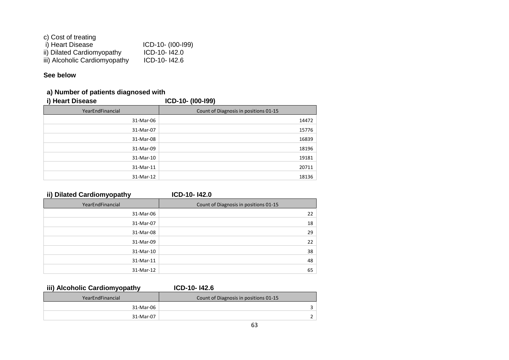| c) Cost of treating           |                   |
|-------------------------------|-------------------|
| i) Heart Disease              | ICD-10- (I00-I99) |
| ii) Dilated Cardiomyopathy    | ICD-10-142.0      |
| iii) Alcoholic Cardiomyopathy | ICD-10-142.6      |

# **See below**

# **a) Number of patients diagnosed with**

| i) Heart Disease | ICD-10- (100-199)                     |
|------------------|---------------------------------------|
| YearEndFinancial | Count of Diagnosis in positions 01-15 |
| 31-Mar-06        | 14472                                 |
| 31-Mar-07        | 15776                                 |
| 31-Mar-08        | 16839                                 |
| 31-Mar-09        | 18196                                 |
| 31-Mar-10        | 19181                                 |
| 31-Mar-11        | 20711                                 |
| 31-Mar-12        | 18136                                 |
|                  |                                       |

# **ii) Dilated Cardiomyopathy ICD-10- I42.0**

| YearEndFinancial | Count of Diagnosis in positions 01-15 |
|------------------|---------------------------------------|
| 31-Mar-06        | 22                                    |
| 31-Mar-07        | 18                                    |
| 31-Mar-08        | 29                                    |
| 31-Mar-09        | 22                                    |
| 31-Mar-10        | 38                                    |
| 31-Mar-11        | 48                                    |
| 31-Mar-12        | 65                                    |

# **iii) Alcoholic Cardiomyopathy ICD-10- I42.6**

| YearEndFinancial | Count of Diagnosis in positions 01-15 |  |  |
|------------------|---------------------------------------|--|--|
| 31-Mar-06        |                                       |  |  |
| 31-Mar-07        |                                       |  |  |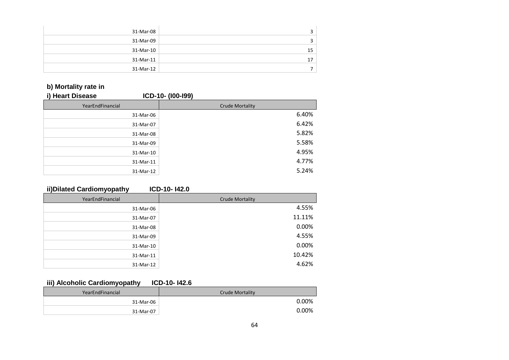| 31-Mar-08 |                 |
|-----------|-----------------|
| 31-Mar-09 |                 |
| 31-Mar-10 | 15 <sup>1</sup> |
| 31-Mar-11 |                 |
| 31-Mar-12 |                 |

# **b) Mortality rate in**

| i) Heart Disease |           | ICD-10- (100-199)      |
|------------------|-----------|------------------------|
| YearEndFinancial |           | <b>Crude Mortality</b> |
|                  | 31-Mar-06 | 6.40%                  |
|                  | 31-Mar-07 | 6.42%                  |
|                  | 31-Mar-08 | 5.82%                  |
|                  | 31-Mar-09 | 5.58%                  |
|                  | 31-Mar-10 | 4.95%                  |
|                  | 31-Mar-11 | 4.77%                  |
|                  | 31-Mar-12 | 5.24%                  |

# **ii)Dilated Cardiomyopathy ICD-10- I42.0**

| YearEndFinancial | <b>Crude Mortality</b> |
|------------------|------------------------|
| 31-Mar-06        | 4.55%                  |
| 31-Mar-07        | 11.11%                 |
| 31-Mar-08        | 0.00%                  |
| 31-Mar-09        | 4.55%                  |
| 31-Mar-10        | 0.00%                  |
| 31-Mar-11        | 10.42%                 |
| 31-Mar-12        | 4.62%                  |

# **iii) Alcoholic Cardiomyopathy ICD-10- I42.6**

| .                |                 |  |  |  |  |  |
|------------------|-----------------|--|--|--|--|--|
| YearEndFinancial | Crude Mortality |  |  |  |  |  |
| 31-Mar-06        | 0.00%           |  |  |  |  |  |
| 31-Mar-07        | 0.00%           |  |  |  |  |  |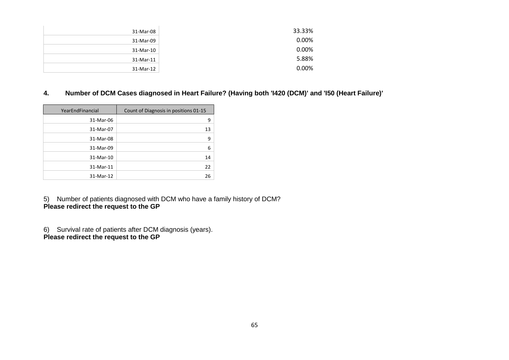| 31-Mar-08 | 33.33% |
|-----------|--------|
| 31-Mar-09 | 0.00%  |
| 31-Mar-10 | 0.00%  |
| 31-Mar-11 | 5.88%  |
| 31-Mar-12 | 0.00%  |

# **4. Number of DCM Cases diagnosed in Heart Failure? (Having both 'I420 (DCM)' and 'I50 (Heart Failure)'**

| YearEndFinancial | Count of Diagnosis in positions 01-15 |
|------------------|---------------------------------------|
| 31-Mar-06        | 9                                     |
| 31-Mar-07        | 13                                    |
| 31-Mar-08        | 9                                     |
| 31-Mar-09        | 6                                     |
| 31-Mar-10        | 14                                    |
| 31-Mar-11        | 22                                    |
| 31-Mar-12        | 26                                    |

5) Number of patients diagnosed with DCM who have a family history of DCM? **Please redirect the request to the GP**

6) Survival rate of patients after DCM diagnosis (years). **Please redirect the request to the GP**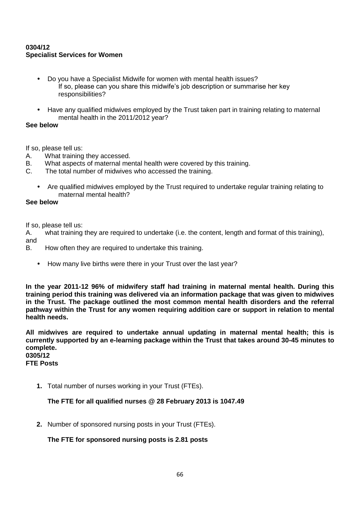# **0304/12 Specialist Services for Women**

- Do you have a Specialist Midwife for women with mental health issues? If so, please can you share this midwife"s job description or summarise her key responsibilities?
- Have any qualified midwives employed by the Trust taken part in training relating to maternal mental health in the 2011/2012 year?

#### **See below**

If so, please tell us:

- A. What training they accessed.
- B. What aspects of maternal mental health were covered by this training.
- C. The total number of midwives who accessed the training.
	- Are qualified midwives employed by the Trust required to undertake regular training relating to maternal mental health?

#### **See below**

If so, please tell us:

A. what training they are required to undertake (i.e. the content, length and format of this training), and

- B. How often they are required to undertake this training.
	- How many live births were there in your Trust over the last year?

**In the year 2011-12 96% of midwifery staff had training in maternal mental health. During this training period this training was delivered via an information package that was given to midwives in the Trust. The package outlined the most common mental health disorders and the referral pathway within the Trust for any women requiring addition care or support in relation to mental health needs.**

**All midwives are required to undertake annual updating in maternal mental health; this is currently supported by an e-learning package within the Trust that takes around 30-45 minutes to complete. 0305/12** 

**FTE Posts**

**1.** Total number of nurses working in your Trust (FTEs).

# **The FTE for all qualified nurses @ 28 February 2013 is 1047.49**

**2.** Number of sponsored nursing posts in your Trust (FTEs).

# **The FTE for sponsored nursing posts is 2.81 posts**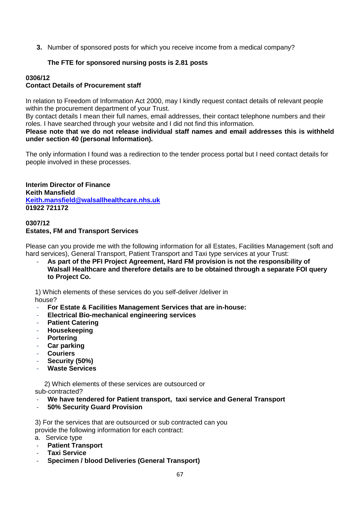**3.** Number of sponsored posts for which you receive income from a medical company?

# **The FTE for sponsored nursing posts is 2.81 posts**

#### **0306/12 Contact Details of Procurement staff**

In relation to Freedom of Information Act 2000, may I kindly request contact details of relevant people within the procurement department of your Trust.

By contact details I mean their full names, email addresses, their contact telephone numbers and their roles. I have searched through your website and I did not find this information.

#### **Please note that we do not release individual staff names and email addresses this is withheld under section 40 (personal Information).**

The only information I found was a redirection to the tender process portal but I need contact details for people involved in these processes.

**Interim Director of Finance Keith Mansfield [Keith.mansfield@walsallhealthcare.nhs.uk](mailto:Keith.mansfield@walsallhealthcare.nhs.uk) 01922 721172**

# **0307/12 Estates, FM and Transport Services**

Please can you provide me with the following information for all Estates, Facilities Management (soft and hard services), General Transport, Patient Transport and Taxi type services at your Trust:

- **As part of the PFI Project Agreement, Hard FM provision is not the responsibility of Walsall Healthcare and therefore details are to be obtained through a separate FOI query to Project Co.**

1) Which elements of these services do you self-deliver /deliver in

house?

- **For Estate & Facilities Management Services that are in-house:**
- **Electrical Bio-mechanical engineering services**
- **Patient Catering**
- **Housekeeping**
- **Portering**
- **Car parking**
- **Couriers**
- Security (50%)
- **Waste Services**

 2) Which elements of these services are outsourced or sub-contracted?

- **We have tendered for Patient transport, taxi service and General Transport**
- **50% Security Guard Provision**

 3) For the services that are outsourced or sub contracted can you provide the following information for each contract:

- a. Service type
- **Patient Transport**
- **Taxi Service**
- **Specimen / blood Deliveries (General Transport)**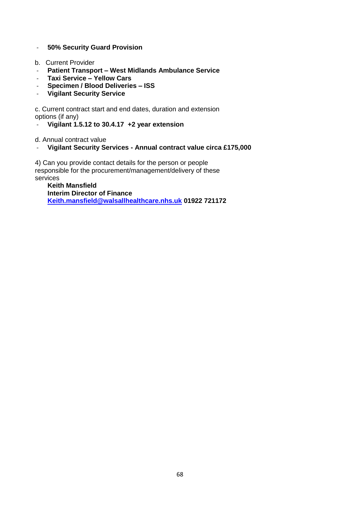- **50% Security Guard Provision**
- b. Current Provider
- **Patient Transport – West Midlands Ambulance Service**
- **Taxi Service – Yellow Cars**
- **Specimen / Blood Deliveries – ISS**
- **Vigilant Security Service**

 c. Current contract start and end dates, duration and extension options (if any)

- **Vigilant 1.5.12 to 30.4.17 +2 year extension**

d. Annual contract value

- **Vigilant Security Services - Annual contract value circa £175,000**

 4) Can you provide contact details for the person or people responsible for the procurement/management/delivery of these services

**Keith Mansfield Interim Director of Finance [Keith.mansfield@walsallhealthcare.nhs.uk](mailto:Keith.mansfield@walsallhealthcare.nhs.uk) 01922 721172**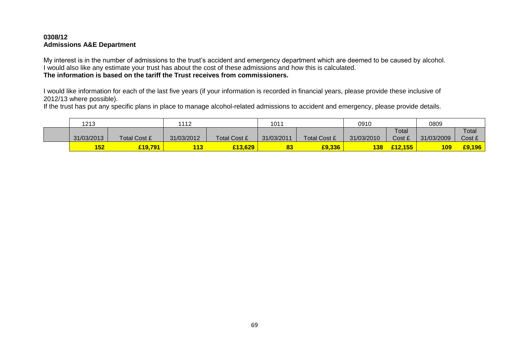# **0308/12 Admissions A&E Department**

My interest is in the number of admissions to the trust"s accident and emergency department which are deemed to be caused by alcohol. I would also like any estimate your trust has about the cost of these admissions and how this is calculated. **The information is based on the tariff the Trust receives from commissioners.**

I would like information for each of the last five years (if your information is recorded in financial years, please provide these inclusive of 2012/13 where possible).

If the trust has put any specific plans in place to manage alcohol-related admissions to accident and emergency, please provide details.

| 1213       |                     | 1112       |                     | 1011       |              | 0910       |         | 0809       |        |
|------------|---------------------|------------|---------------------|------------|--------------|------------|---------|------------|--------|
|            |                     |            |                     |            |              |            | Total   |            | Total  |
| 31/03/2013 | <b>Total Cost £</b> | 31/03/2012 | <b>Total Cost £</b> | 31/03/2011 | Total Cost £ | 31/03/2010 | Cost £  | 31/03/2009 | Cost £ |
| 152        | £19,791             | 113        | £13,629             | 83         | £9,336       | <b>138</b> | £12.155 | <b>109</b> | £9,196 |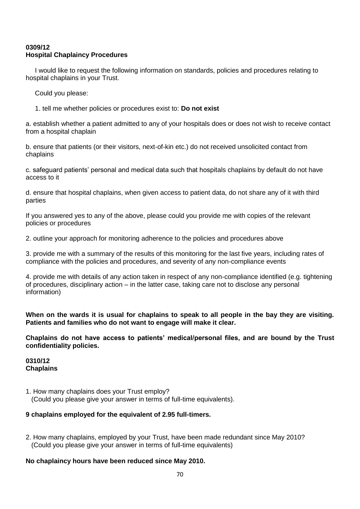# **0309/12 Hospital Chaplaincy Procedures**

 I would like to request the following information on standards, policies and procedures relating to hospital chaplains in your Trust.

Could you please:

1. tell me whether policies or procedures exist to: **Do not exist**

a. establish whether a patient admitted to any of your hospitals does or does not wish to receive contact from a hospital chaplain

b. ensure that patients (or their visitors, next-of-kin etc.) do not received unsolicited contact from chaplains

c. safeguard patients" personal and medical data such that hospitals chaplains by default do not have access to it

d. ensure that hospital chaplains, when given access to patient data, do not share any of it with third parties

If you answered yes to any of the above, please could you provide me with copies of the relevant policies or procedures

2. outline your approach for monitoring adherence to the policies and procedures above

3. provide me with a summary of the results of this monitoring for the last five years, including rates of compliance with the policies and procedures, and severity of any non-compliance events

4. provide me with details of any action taken in respect of any non-compliance identified (e.g. tightening of procedures, disciplinary action – in the latter case, taking care not to disclose any personal information)

**When on the wards it is usual for chaplains to speak to all people in the bay they are visiting. Patients and families who do not want to engage will make it clear.**

**Chaplains do not have access to patients' medical/personal files, and are bound by the Trust confidentiality policies.**

#### **0310/12 Chaplains**

1. How many chaplains does your Trust employ?

(Could you please give your answer in terms of full-time equivalents).

#### **9 chaplains employed for the equivalent of 2.95 full-timers.**

2. How many chaplains, employed by your Trust, have been made redundant since May 2010? (Could you please give your answer in terms of full-time equivalents)

#### **No chaplaincy hours have been reduced since May 2010.**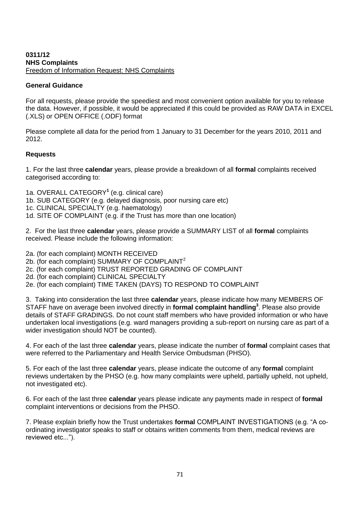#### **0311/12 NHS Complaints** Freedom of Information Request: NHS Complaints

#### **General Guidance**

For all requests, please provide the speediest and most convenient option available for you to release the data. However, if possible, it would be appreciated if this could be provided as RAW DATA in EXCEL (.XLS) or OPEN OFFICE (.ODF) format

Please complete all data for the period from 1 January to 31 December for the years 2010, 2011 and 2012.

# **Requests**

1. For the last three **calendar** years, please provide a breakdown of all **formal** complaints received categorised according to:

1a. OVERALL CATEGORY**<sup>1</sup>** (e.g. clinical care) 1b. SUB CATEGORY (e.g. delayed diagnosis, poor nursing care etc) 1c. CLINICAL SPECIALTY (e.g. haematology) 1d. SITE OF COMPLAINT (e.g. if the Trust has more than one location)

2. For the last three **calendar** years, please provide a SUMMARY LIST of all **formal** complaints received. Please include the following information:

2a. (for each complaint) MONTH RECEIVED 2b. (for each complaint) SUMMARY OF COMPLAINT<sup>2</sup> 2c. (for each complaint) TRUST REPORTED GRADING OF COMPLAINT 2d. (for each complaint) CLINICAL SPECIALTY 2e. (for each complaint) TIME TAKEN (DAYS) TO RESPOND TO COMPLAINT

3. Taking into consideration the last three **calendar** years, please indicate how many MEMBERS OF STAFF have on average been involved directly in **formal complaint handling<sup>3</sup>** . Please also provide details of STAFF GRADINGS. Do not count staff members who have provided information or who have undertaken local investigations (e.g. ward managers providing a sub-report on nursing care as part of a wider investigation should NOT be counted).

4. For each of the last three **calendar** years, please indicate the number of **formal** complaint cases that were referred to the Parliamentary and Health Service Ombudsman (PHSO).

5. For each of the last three **calendar** years, please indicate the outcome of any **formal** complaint reviews undertaken by the PHSO (e.g. how many complaints were upheld, partially upheld, not upheld, not investigated etc).

6. For each of the last three **calendar** years please indicate any payments made in respect of **formal**  complaint interventions or decisions from the PHSO.

7. Please explain briefly how the Trust undertakes **formal** COMPLAINT INVESTIGATIONS (e.g. "A coordinating investigator speaks to staff or obtains written comments from them, medical reviews are reviewed etc...").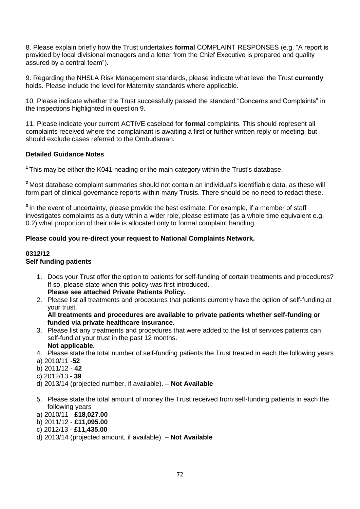8. Please explain briefly how the Trust undertakes **formal** COMPLAINT RESPONSES (e.g. "A report is provided by local divisional managers and a letter from the Chief Executive is prepared and quality assured by a central team").

9. Regarding the NHSLA Risk Management standards, please indicate what level the Trust **currently** holds. Please include the level for Maternity standards where applicable.

10. Please indicate whether the Trust successfully passed the standard "Concerns and Complaints" in the inspections highlighted in question 9.

11. Please indicate your current ACTIVE caseload for **formal** complaints. This should represent all complaints received where the complainant is awaiting a first or further written reply or meeting, but should exclude cases referred to the Ombudsman.

# **Detailed Guidance Notes**

**<sup>1</sup>** This may be either the K041 heading or the main category within the Trust's database.

**<sup>2</sup>**Most database complaint summaries should not contain an individual's identifiable data, as these will form part of clinical governance reports within many Trusts. There should be no need to redact these.

**<sup>3</sup>**In the event of uncertainty, please provide the best estimate. For example, if a member of staff investigates complaints as a duty within a wider role, please estimate (as a whole time equivalent e.g. 0.2) what proportion of their role is allocated only to formal complaint handling.

# **Please could you re-direct your request to National Complaints Network.**

# **0312/12**

# **Self funding patients**

- 1. Does your Trust offer the option to patients for self-funding of certain treatments and procedures? If so, please state when this policy was first introduced. **Please see attached Private Patients Policy.**
- 2. Please list all treatments and procedures that patients currently have the option of self-funding at your trust.

#### **All treatments and procedures are available to private patients whether self-funding or funded via private healthcare insurance.**

- 3. Please list any treatments and procedures that were added to the list of services patients can self-fund at your trust in the past 12 months. **Not applicable.**
- 4. Please state the total number of self-funding patients the Trust treated in each the following years
- a) 2010/11 -**52**
- b) 2011/12 **42**
- c) 2012/13 **39**
- d) 2013/14 (projected number, if available). **Not Available**
- 5. Please state the total amount of money the Trust received from self-funding patients in each the following years
- a) 2010/11 **£18,027.00**
- b) 2011/12 **£11,095.00**
- c) 2012/13 **£11,435.00**
- d) 2013/14 (projected amount, if available). **Not Available**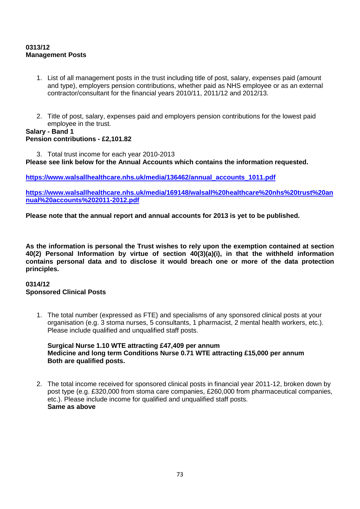# **0313/12 Management Posts**

- 1. List of all management posts in the trust including title of post, salary, expenses paid (amount and type), employers pension contributions, whether paid as NHS employee or as an external contractor/consultant for the financial years 2010/11, 2011/12 and 2012/13.
- 2. Title of post, salary, expenses paid and employers pension contributions for the lowest paid employee in the trust.

### **Salary - Band 1 Pension contributions - £2,101.82**

3. Total trust income for each year 2010-2013

**Please see link below for the Annual Accounts which contains the information requested.** 

**[https://www.walsallhealthcare.nhs.uk/media/136462/annual\\_accounts\\_1011.pdf](https://www.walsallhealthcare.nhs.uk/media/136462/annual_accounts_1011.pdf)**

**[https://www.walsallhealthcare.nhs.uk/media/169148/walsall%20healthcare%20nhs%20trust%20an](https://www.walsallhealthcare.nhs.uk/media/169148/walsall%20healthcare%20nhs%20trust%20annual%20accounts%202011-2012.pdf) [nual%20accounts%202011-2012.pdf](https://www.walsallhealthcare.nhs.uk/media/169148/walsall%20healthcare%20nhs%20trust%20annual%20accounts%202011-2012.pdf)**

**Please note that the annual report and annual accounts for 2013 is yet to be published.**

**As the information is personal the Trust wishes to rely upon the exemption contained at section 40(2) Personal Information by virtue of section 40(3)(a)(i), in that the withheld information contains personal data and to disclose it would breach one or more of the data protection principles.** 

#### **0314/12 Sponsored Clinical Posts**

1. The total number (expressed as FTE) and specialisms of any sponsored clinical posts at your organisation (e.g. 3 stoma nurses, 5 consultants, 1 pharmacist, 2 mental health workers, etc.). Please include qualified and unqualified staff posts.

**Surgical Nurse 1.10 WTE attracting £47,409 per annum Medicine and long term Conditions Nurse 0.71 WTE attracting £15,000 per annum Both are qualified posts.**

2. The total income received for sponsored clinical posts in financial year 2011-12, broken down by post type (e.g. £320,000 from stoma care companies, £260,000 from pharmaceutical companies, etc.). Please include income for qualified and unqualified staff posts. **Same as above**